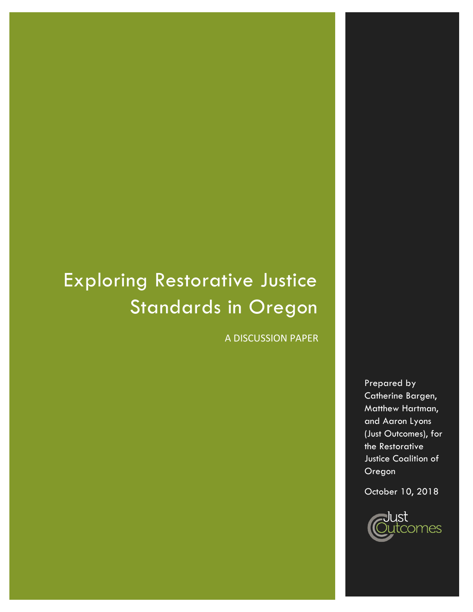# Exploring Restorative Justice Standards in Oregon

A DISCUSSION PAPER

Prepared by Catherine Bargen, Matthew Hartman, and Aaron Lyons (Just Outcomes), for the Restorative Justice Coalition of Oregon

October 10, 2018

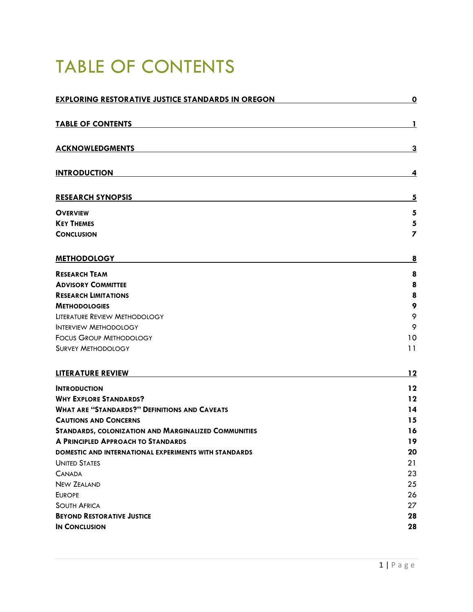# <span id="page-1-0"></span>TABLE OF CONTENTS

| <b>EXPLORING RESTORATIVE JUSTICE STANDARDS IN OREGON</b>     | $\overline{\mathbf{0}}$ |
|--------------------------------------------------------------|-------------------------|
| <b>TABLE OF CONTENTS</b>                                     | 1                       |
| <b>ACKNOWLEDGMENTS</b>                                       | 3                       |
| <b>INTRODUCTION</b>                                          | 4                       |
| <b>RESEARCH SYNOPSIS</b>                                     | 5                       |
| <b>OVERVIEW</b>                                              | 5                       |
| <b>KEY THEMES</b>                                            | 5                       |
| <b>CONCLUSION</b>                                            | 7                       |
| <b>METHODOLOGY</b>                                           | <u>8</u>                |
| <b>RESEARCH TEAM</b>                                         | 8                       |
| <b>ADVISORY COMMITTEE</b>                                    | 8                       |
| <b>RESEARCH LIMITATIONS</b>                                  | 8                       |
| <b>METHODOLOGIES</b>                                         | 9                       |
| LITERATURE REVIEW METHODOLOGY                                | 9                       |
| <b>INTERVIEW METHODOLOGY</b>                                 | 9                       |
| <b>FOCUS GROUP METHODOLOGY</b>                               | 10                      |
| <b>SURVEY METHODOLOGY</b>                                    | 11                      |
| <b>LITERATURE REVIEW</b>                                     | 12                      |
| <b>INTRODUCTION</b>                                          | 12                      |
| <b>WHY EXPLORE STANDARDS?</b>                                | 12                      |
| <b>WHAT ARE "STANDARDS?" DEFINITIONS AND CAVEATS</b>         | 14                      |
| <b>CAUTIONS AND CONCERNS</b>                                 | 15                      |
| <b>STANDARDS, COLONIZATION AND MARGINALIZED COMMUNITIES</b>  | 16                      |
| A PRINCIPLED APPROACH TO STANDARDS                           | 19                      |
| <b>DOMESTIC AND INTERNATIONAL EXPERIMENTS WITH STANDARDS</b> | 20                      |
| <b>UNITED STATES</b>                                         | 21                      |
| <b>CANADA</b>                                                | 23                      |
| <b>NEW ZEALAND</b>                                           | 25                      |
| <b>EUROPE</b>                                                | 26                      |
| <b>SOUTH AFRICA</b>                                          | 27                      |
| <b>BEYOND RESTORATIVE JUSTICE</b>                            | 28                      |
| <b>IN CONCLUSION</b>                                         | 28                      |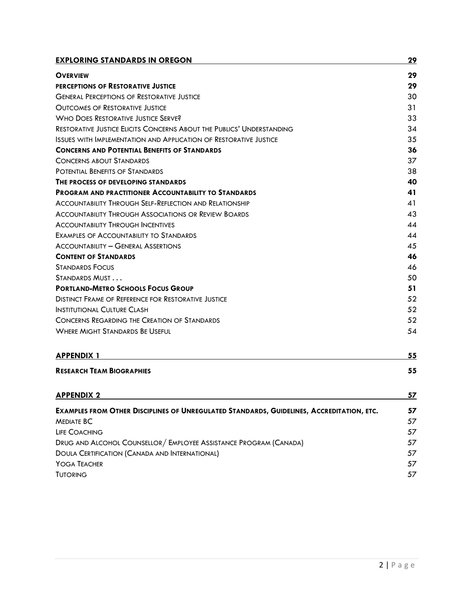| <b>EXPLORING STANDARDS IN OREGON</b>                                                      | 29        |
|-------------------------------------------------------------------------------------------|-----------|
| <b>OVERVIEW</b>                                                                           | 29        |
| PERCEPTIONS OF RESTORATIVE JUSTICE                                                        | 29        |
| <b>GENERAL PERCEPTIONS OF RESTORATIVE JUSTICE</b>                                         | 30        |
| <b>OUTCOMES OF RESTORATIVE JUSTICE</b>                                                    | 31        |
| <b>WHO DOES RESTORATIVE JUSTICE SERVE?</b>                                                | 33        |
| <b>RESTORATIVE JUSTICE ELICITS CONCERNS ABOUT THE PUBLICS' UNDERSTANDING</b>              | 34        |
| Issues with Implementation and Application of Restorative Justice                         | 35        |
| <b>CONCERNS AND POTENTIAL BENEFITS OF STANDARDS</b>                                       | 36        |
| <b>CONCERNS ABOUT STANDARDS</b>                                                           | 37        |
| POTENTIAL BENEFITS OF STANDARDS                                                           | 38        |
| THE PROCESS OF DEVELOPING STANDARDS                                                       | 40        |
| <b>PROGRAM AND PRACTITIONER ACCOUNTABILITY TO STANDARDS</b>                               | 41        |
| ACCOUNTABILITY THROUGH SELF-REFLECTION AND RELATIONSHIP                                   | 41        |
| <b>ACCOUNTABILITY THROUGH ASSOCIATIONS OR REVIEW BOARDS</b>                               | 43        |
| <b>ACCOUNTABILITY THROUGH INCENTIVES</b>                                                  | 44        |
| EXAMPLES OF ACCOUNTABILITY TO STANDARDS                                                   | 44        |
| <b>ACCOUNTABILITY - GENERAL ASSERTIONS</b>                                                | 45        |
| <b>CONTENT OF STANDARDS</b>                                                               | 46        |
| <b>STANDARDS FOCUS</b>                                                                    | 46        |
| Standards Must                                                                            | 50        |
| <b>PORTLAND-METRO SCHOOLS FOCUS GROUP</b>                                                 | 51        |
| <b>DISTINCT FRAME OF REFERENCE FOR RESTORATIVE JUSTICE</b>                                | 52        |
| Institutional Culture Clash                                                               | 52        |
| CONCERNS REGARDING THE CREATION OF STANDARDS                                              | 52        |
| <b>WHERE MIGHT STANDARDS BE USEFUL</b>                                                    | 54        |
| <b>APPENDIX 1</b>                                                                         | 55        |
| <b>RESEARCH TEAM BIOGRAPHIES</b>                                                          | 55        |
| <u>APPENDIX 2</u>                                                                         | <u>57</u> |
| EXAMPLES FROM OTHER DISCIPLINES OF UNREGULATED STANDARDS, GUIDELINES, ACCREDITATION, ETC. | 57        |
| <b>MEDIATE BC</b>                                                                         | 57        |
| LIFE COACHING                                                                             | 57        |
| DRUG AND ALCOHOL COUNSELLOR / EMPLOYEE ASSISTANCE PROGRAM (CANADA)                        | 57        |
| <b>DOULA CERTIFICATION (CANADA AND INTERNATIONAL)</b>                                     | 57        |

YOGA T[EACHER](#page-57-6) 57 **T[UTORING](#page-57-7) 57**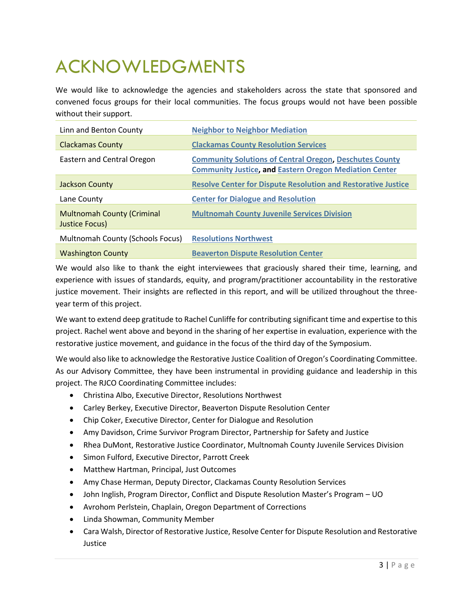# <span id="page-3-0"></span>ACKNOWLEDGMENTS

We would like to acknowledge the agencies and stakeholders across the state that sponsored and convened focus groups for their local communities. The focus groups would not have been possible without their support.

| Linn and Benton County                              | <b>Neighbor to Neighbor Mediation</b>                                                                                           |
|-----------------------------------------------------|---------------------------------------------------------------------------------------------------------------------------------|
| <b>Clackamas County</b>                             | <b>Clackamas County Resolution Services</b>                                                                                     |
| <b>Eastern and Central Oregon</b>                   | <b>Community Solutions of Central Oregon, Deschutes County</b><br><b>Community Justice, and Eastern Oregon Mediation Center</b> |
| Jackson County                                      | <b>Resolve Center for Dispute Resolution and Restorative Justice</b>                                                            |
| Lane County                                         | <b>Center for Dialogue and Resolution</b>                                                                                       |
| <b>Multnomah County (Criminal</b><br>Justice Focus) | <b>Multnomah County Juvenile Services Division</b>                                                                              |
| Multnomah County (Schools Focus)                    | <b>Resolutions Northwest</b>                                                                                                    |
| <b>Washington County</b>                            | <b>Beaverton Dispute Resolution Center</b>                                                                                      |

We would also like to thank the eight interviewees that graciously shared their time, learning, and experience with issues of standards, equity, and program/practitioner accountability in the restorative justice movement. Their insights are reflected in this report, and will be utilized throughout the threeyear term of this project.

We want to extend deep gratitude to Rachel Cunliffe for contributing significant time and expertise to this project. Rachel went above and beyond in the sharing of her expertise in evaluation, experience with the restorative justice movement, and guidance in the focus of the third day of the Symposium.

We would also like to acknowledge the Restorative Justice Coalition of Oregon's Coordinating Committee. As our Advisory Committee, they have been instrumental in providing guidance and leadership in this project. The RJCO Coordinating Committee includes:

- Christina Albo, Executive Director, Resolutions Northwest
- Carley Berkey, Executive Director, Beaverton Dispute Resolution Center
- Chip Coker, Executive Director, Center for Dialogue and Resolution
- Amy Davidson, Crime Survivor Program Director, Partnership for Safety and Justice
- Rhea DuMont, Restorative Justice Coordinator, Multnomah County Juvenile Services Division
- Simon Fulford, Executive Director, Parrott Creek
- Matthew Hartman, Principal, Just Outcomes
- Amy Chase Herman, Deputy Director, Clackamas County Resolution Services
- John Inglish, Program Director, Conflict and Dispute Resolution Master's Program UO
- Avrohom Perlstein, Chaplain, Oregon Department of Corrections
- Linda Showman, Community Member
- Cara Walsh, Director of Restorative Justice, Resolve Center for Dispute Resolution and Restorative Justice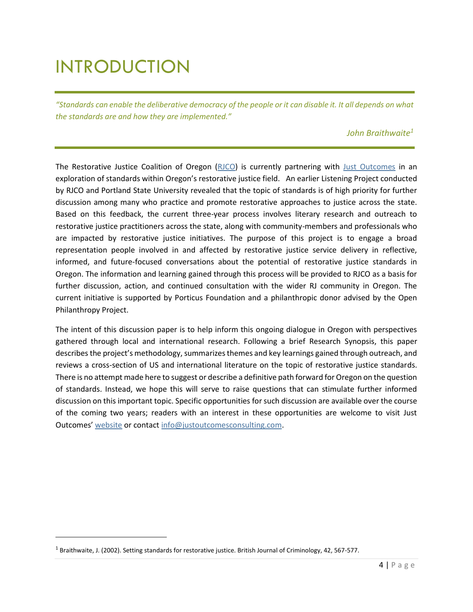# <span id="page-4-0"></span>INTRODUCTION

*"Standards can enable the deliberative democracy of the people or it can disable it. It all depends on what the standards are and how they are implemented."* 

# *John Braithwaite1*

The Restorative Justice Coalition of Oregon [\(RJCO\)](http://rjoregon.org/) is currently partnering with [Just Outcomes](http://www.justoutcomesconsulting.com/) in an exploration of standards within Oregon's restorative justice field. An earlier Listening Project conducted by RJCO and Portland State University revealed that the topic of standards is of high priority for further discussion among many who practice and promote restorative approaches to justice across the state. Based on this feedback, the current three-year process involves literary research and outreach to restorative justice practitioners across the state, along with community-members and professionals who are impacted by restorative justice initiatives. The purpose of this project is to engage a broad representation people involved in and affected by restorative justice service delivery in reflective, informed, and future-focused conversations about the potential of restorative justice standards in Oregon. The information and learning gained through this process will be provided to RJCO as a basis for further discussion, action, and continued consultation with the wider RJ community in Oregon. The current initiative is supported by Porticus Foundation and a philanthropic donor advised by the Open Philanthropy Project.

The intent of this discussion paper is to help inform this ongoing dialogue in Oregon with perspectives gathered through local and international research. Following a brief Research Synopsis, this paper describes the project's methodology, summarizes themes and key learnings gained through outreach, and reviews a cross-section of US and international literature on the topic of restorative justice standards. There is no attempt made here to suggest or describe a definitive path forward for Oregon on the question of standards. Instead, we hope this will serve to raise questions that can stimulate further informed discussion on this important topic. Specific opportunities for such discussion are available over the course of the coming two years; readers with an interest in these opportunities are welcome to visit Just Outcomes' [website](https://www.justoutcomesconsulting.com/what-we-do/projects/2018-oregon-symposium) or contac[t info@justoutcomesconsulting.com.](mailto:info@justoutcomesconsulting.com)

 $\overline{\phantom{a}}$ 

<sup>&</sup>lt;sup>1</sup> Braithwaite, J. (2002). Setting standards for restorative justice. British Journal of Criminology, 42, 567-577.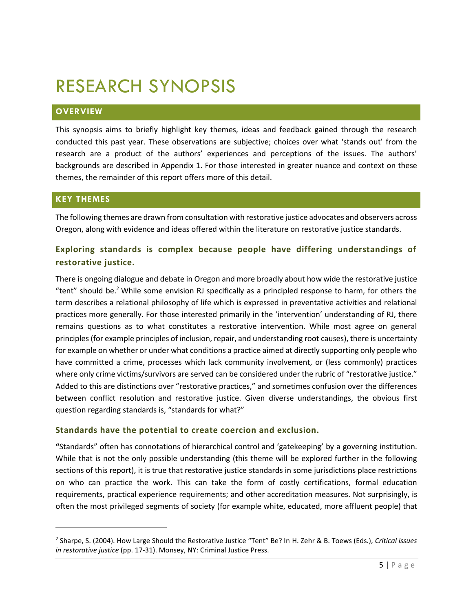# <span id="page-5-0"></span>RESEARCH SYNOPSIS

# <span id="page-5-1"></span>**OVERVIEW**

This synopsis aims to briefly highlight key themes, ideas and feedback gained through the research conducted this past year. These observations are subjective; choices over what 'stands out' from the research are a product of the authors' experiences and perceptions of the issues. The authors' backgrounds are described in Appendix 1. For those interested in greater nuance and context on these themes, the remainder of this report offers more of this detail.

# <span id="page-5-2"></span>**KEY THEMES**

 $\overline{\phantom{a}}$ 

The following themes are drawn from consultation with restorative justice advocates and observers across Oregon, along with evidence and ideas offered within the literature on restorative justice standards.

# **Exploring standards is complex because people have differing understandings of restorative justice.**

There is ongoing dialogue and debate in Oregon and more broadly about how wide the restorative justice "tent" should be.<sup>2</sup> While some envision RJ specifically as a principled response to harm, for others the term describes a relational philosophy of life which is expressed in preventative activities and relational practices more generally. For those interested primarily in the 'intervention' understanding of RJ, there remains questions as to what constitutes a restorative intervention. While most agree on general principles (for example principles of inclusion, repair, and understanding root causes), there is uncertainty for example on whether or under what conditions a practice aimed at directly supporting only people who have committed a crime, processes which lack community involvement, or (less commonly) practices where only crime victims/survivors are served can be considered under the rubric of "restorative justice." Added to this are distinctions over "restorative practices," and sometimes confusion over the differences between conflict resolution and restorative justice. Given diverse understandings, the obvious first question regarding standards is, "standards for what?"

# **Standards have the potential to create coercion and exclusion.**

**"**Standards" often has connotations of hierarchical control and 'gatekeeping' by a governing institution. While that is not the only possible understanding (this theme will be explored further in the following sections of this report), it is true that restorative justice standards in some jurisdictions place restrictions on who can practice the work. This can take the form of costly certifications, formal education requirements, practical experience requirements; and other accreditation measures. Not surprisingly, is often the most privileged segments of society (for example white, educated, more affluent people) that

<sup>2</sup> Sharpe, S. (2004). How Large Should the Restorative Justice "Tent" Be? In H. Zehr & B. Toews (Eds.), *Critical issues in restorative justice* (pp. 17-31). Monsey, NY: Criminal Justice Press.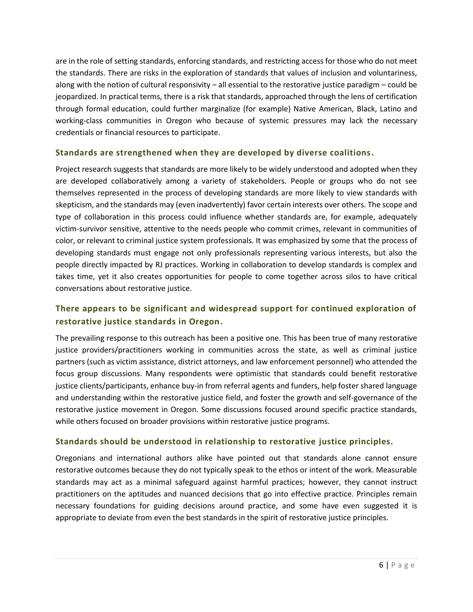are in the role of setting standards, enforcing standards, and restricting access for those who do not meet the standards. There are risks in the exploration of standards that values of inclusion and voluntariness, along with the notion of cultural responsivity – all essential to the restorative justice paradigm – could be jeopardized. In practical terms, there is a risk that standards, approached through the lens of certification through formal education, could further marginalize (for example) Native American, Black, Latino and working-class communities in Oregon who because of systemic pressures may lack the necessary credentials or financial resources to participate.

# **Standards are strengthened when they are developed by diverse coalitions.**

Project research suggests that standards are more likely to be widely understood and adopted when they are developed collaboratively among a variety of stakeholders. People or groups who do not see themselves represented in the process of developing standards are more likely to view standards with skepticism, and the standards may (even inadvertently) favor certain interests over others. The scope and type of collaboration in this process could influence whether standards are, for example, adequately victim-survivor sensitive, attentive to the needs people who commit crimes, relevant in communities of color, or relevant to criminal justice system professionals. It was emphasized by some that the process of developing standards must engage not only professionals representing various interests, but also the people directly impacted by RJ practices. Working in collaboration to develop standards is complex and takes time, yet it also creates opportunities for people to come together across silos to have critical conversations about restorative justice.

# **There appears to be significant and widespread support for continued exploration of restorative justice standards in Oregon.**

The prevailing response to this outreach has been a positive one. This has been true of many restorative justice providers/practitioners working in communities across the state, as well as criminal justice partners (such as victim assistance, district attorneys, and law enforcement personnel) who attended the focus group discussions. Many respondents were optimistic that standards could benefit restorative justice clients/participants, enhance buy-in from referral agents and funders, help foster shared language and understanding within the restorative justice field, and foster the growth and self-governance of the restorative justice movement in Oregon. Some discussions focused around specific practice standards, while others focused on broader provisions within restorative justice programs.

# **Standards should be understood in relationship to restorative justice principles.**

Oregonians and international authors alike have pointed out that standards alone cannot ensure restorative outcomes because they do not typically speak to the ethos or intent of the work. Measurable standards may act as a minimal safeguard against harmful practices; however, they cannot instruct practitioners on the aptitudes and nuanced decisions that go into effective practice. Principles remain necessary foundations for guiding decisions around practice, and some have even suggested it is appropriate to deviate from even the best standards in the spirit of restorative justice principles.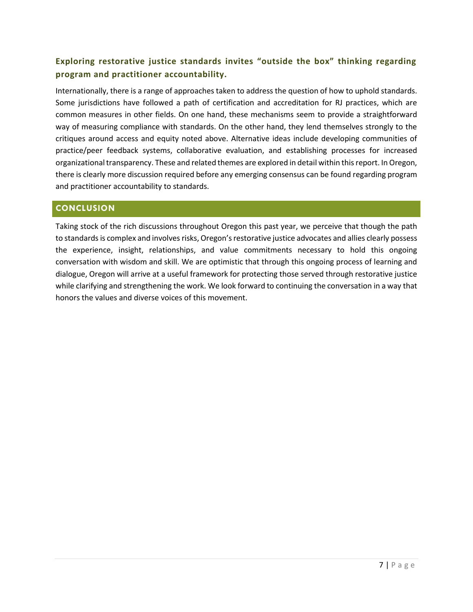# **Exploring restorative justice standards invites "outside the box" thinking regarding program and practitioner accountability.**

Internationally, there is a range of approaches taken to address the question of how to uphold standards. Some jurisdictions have followed a path of certification and accreditation for RJ practices, which are common measures in other fields. On one hand, these mechanisms seem to provide a straightforward way of measuring compliance with standards. On the other hand, they lend themselves strongly to the critiques around access and equity noted above. Alternative ideas include developing communities of practice/peer feedback systems, collaborative evaluation, and establishing processes for increased organizational transparency. These and related themes are explored in detail within this report. In Oregon, there is clearly more discussion required before any emerging consensus can be found regarding program and practitioner accountability to standards.

# <span id="page-7-0"></span>**CONCLUSION**

Taking stock of the rich discussions throughout Oregon this past year, we perceive that though the path to standards is complex and involves risks, Oregon's restorative justice advocates and allies clearly possess the experience, insight, relationships, and value commitments necessary to hold this ongoing conversation with wisdom and skill. We are optimistic that through this ongoing process of learning and dialogue, Oregon will arrive at a useful framework for protecting those served through restorative justice while clarifying and strengthening the work. We look forward to continuing the conversation in a way that honors the values and diverse voices of this movement.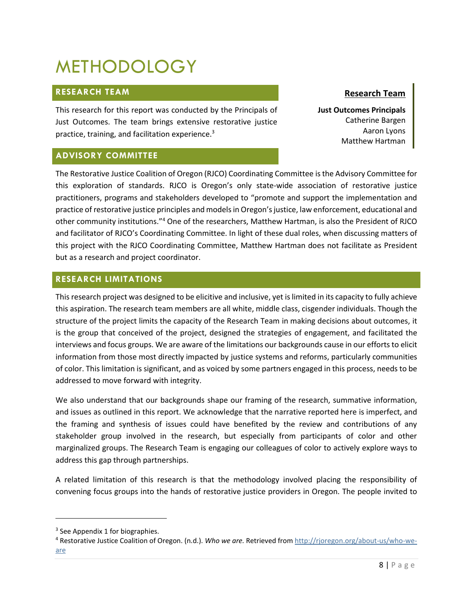# <span id="page-8-0"></span>METHODOLOGY

# <span id="page-8-1"></span>**RESEARCH TEAM**

This research for this report was conducted by the Principals of Just Outcomes. The team brings extensive restorative justice practice, training, and facilitation experience.<sup>3</sup>

# <span id="page-8-2"></span>**ADVISORY COMMITTEE**

# **Research Team**

**Just Outcomes Principals** Catherine Bargen Aaron Lyons Matthew Hartman

The Restorative Justice Coalition of Oregon (RJCO) Coordinating Committee is the Advisory Committee for this exploration of standards. RJCO is Oregon's only state-wide association of restorative justice practitioners, programs and stakeholders developed to "promote and support the implementation and practice of restorative justice principles and models in Oregon's justice, law enforcement, educational and other community institutions."<sup>4</sup> One of the researchers, Matthew Hartman, is also the President of RJCO and facilitator of RJCO's Coordinating Committee. In light of these dual roles, when discussing matters of this project with the RJCO Coordinating Committee, Matthew Hartman does not facilitate as President but as a research and project coordinator.

# <span id="page-8-3"></span>**RESEARCH LIMITATIONS**

This research project was designed to be elicitive and inclusive, yet is limited in its capacity to fully achieve this aspiration. The research team members are all white, middle class, cisgender individuals. Though the structure of the project limits the capacity of the Research Team in making decisions about outcomes, it is the group that conceived of the project, designed the strategies of engagement, and facilitated the interviews and focus groups. We are aware of the limitations our backgrounds cause in our efforts to elicit information from those most directly impacted by justice systems and reforms, particularly communities of color. This limitation is significant, and as voiced by some partners engaged in this process, needs to be addressed to move forward with integrity.

We also understand that our backgrounds shape our framing of the research, summative information, and issues as outlined in this report. We acknowledge that the narrative reported here is imperfect, and the framing and synthesis of issues could have benefited by the review and contributions of any stakeholder group involved in the research, but especially from participants of color and other marginalized groups. The Research Team is engaging our colleagues of color to actively explore ways to address this gap through partnerships.

A related limitation of this research is that the methodology involved placing the responsibility of convening focus groups into the hands of restorative justice providers in Oregon. The people invited to

 $\overline{\phantom{a}}$ 

<sup>&</sup>lt;sup>3</sup> See Appendix 1 for biographies.

<sup>4</sup> Restorative Justice Coalition of Oregon. (n.d.). *Who we are.* Retrieved from [http://rjoregon.org/about-us/who-we](http://rjoregon.org/about-us/who-we-are)[are](http://rjoregon.org/about-us/who-we-are)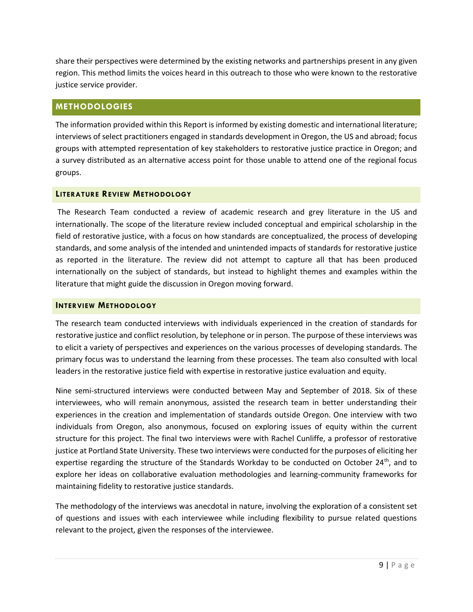share their perspectives were determined by the existing networks and partnerships present in any given region. This method limits the voices heard in this outreach to those who were known to the restorative justice service provider.

# <span id="page-9-0"></span>**METHODOLOGIES**

The information provided within this Report is informed by existing domestic and international literature; interviews of select practitioners engaged in standards development in Oregon, the US and abroad; focus groups with attempted representation of key stakeholders to restorative justice practice in Oregon; and a survey distributed as an alternative access point for those unable to attend one of the regional focus groups.

# <span id="page-9-1"></span>**LITERATURE REVIEW METHODOLOGY**

The Research Team conducted a review of academic research and grey literature in the US and internationally. The scope of the literature review included conceptual and empirical scholarship in the field of restorative justice, with a focus on how standards are conceptualized, the process of developing standards, and some analysis of the intended and unintended impacts of standards for restorative justice as reported in the literature. The review did not attempt to capture all that has been produced internationally on the subject of standards, but instead to highlight themes and examples within the literature that might guide the discussion in Oregon moving forward.

## <span id="page-9-2"></span>**INTERVIEW METHODOLOGY**

The research team conducted interviews with individuals experienced in the creation of standards for restorative justice and conflict resolution, by telephone or in person. The purpose of these interviews was to elicit a variety of perspectives and experiences on the various processes of developing standards. The primary focus was to understand the learning from these processes. The team also consulted with local leaders in the restorative justice field with expertise in restorative justice evaluation and equity.

Nine semi-structured interviews were conducted between May and September of 2018. Six of these interviewees, who will remain anonymous, assisted the research team in better understanding their experiences in the creation and implementation of standards outside Oregon. One interview with two individuals from Oregon, also anonymous, focused on exploring issues of equity within the current structure for this project. The final two interviews were with Rachel Cunliffe, a professor of restorative justice at Portland State University. These two interviews were conducted for the purposes of eliciting her expertise regarding the structure of the Standards Workday to be conducted on October 24<sup>th</sup>, and to explore her ideas on collaborative evaluation methodologies and learning-community frameworks for maintaining fidelity to restorative justice standards.

The methodology of the interviews was anecdotal in nature, involving the exploration of a consistent set of questions and issues with each interviewee while including flexibility to pursue related questions relevant to the project, given the responses of the interviewee.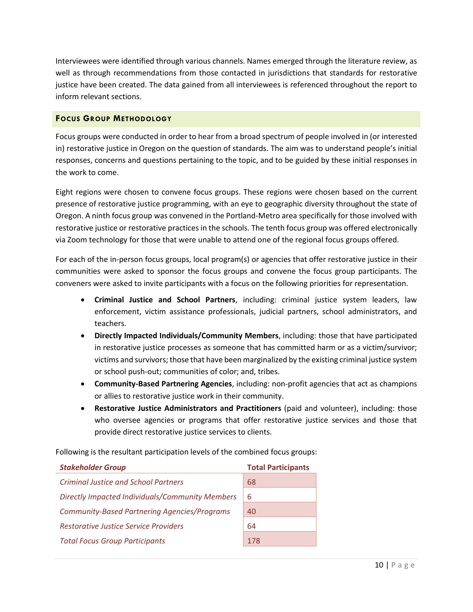Interviewees were identified through various channels. Names emerged through the literature review, as well as through recommendations from those contacted in jurisdictions that standards for restorative justice have been created. The data gained from all interviewees is referenced throughout the report to inform relevant sections.

#### <span id="page-10-0"></span>**FOCUS GROUP METHODOLOGY**

Focus groups were conducted in order to hear from a broad spectrum of people involved in (or interested in) restorative justice in Oregon on the question of standards. The aim was to understand people's initial responses, concerns and questions pertaining to the topic, and to be guided by these initial responses in the work to come.

Eight regions were chosen to convene focus groups. These regions were chosen based on the current presence of restorative justice programming, with an eye to geographic diversity throughout the state of Oregon. A ninth focus group was convened in the Portland-Metro area specifically for those involved with restorative justice or restorative practices in the schools. The tenth focus group was offered electronically via Zoom technology for those that were unable to attend one of the regional focus groups offered.

For each of the in-person focus groups, local program(s) or agencies that offer restorative justice in their communities were asked to sponsor the focus groups and convene the focus group participants. The conveners were asked to invite participants with a focus on the following priorities for representation.

- **Criminal Justice and School Partners**, including: criminal justice system leaders, law enforcement, victim assistance professionals, judicial partners, school administrators, and teachers.
- **Directly Impacted Individuals/Community Members**, including: those that have participated in restorative justice processes as someone that has committed harm or as a victim/survivor; victims and survivors; those that have been marginalized by the existing criminal justice system or school push-out; communities of color; and, tribes.
- **Community-Based Partnering Agencies**, including: non-profit agencies that act as champions or allies to restorative justice work in their community.
- **Restorative Justice Administrators and Practitioners** (paid and volunteer), including: those who oversee agencies or programs that offer restorative justice services and those that provide direct restorative justice services to clients.

Following is the resultant participation levels of the combined focus groups:

| <b>Stakeholder Group</b>                            | <b>Total Participants</b> |
|-----------------------------------------------------|---------------------------|
| <b>Criminal Justice and School Partners</b>         | 68                        |
| Directly Impacted Individuals/Community Members     | 6                         |
| <b>Community-Based Partnering Agencies/Programs</b> | 40                        |
| <b>Restorative Justice Service Providers</b>        | 64                        |
| <b>Total Focus Group Participants</b>               | 178                       |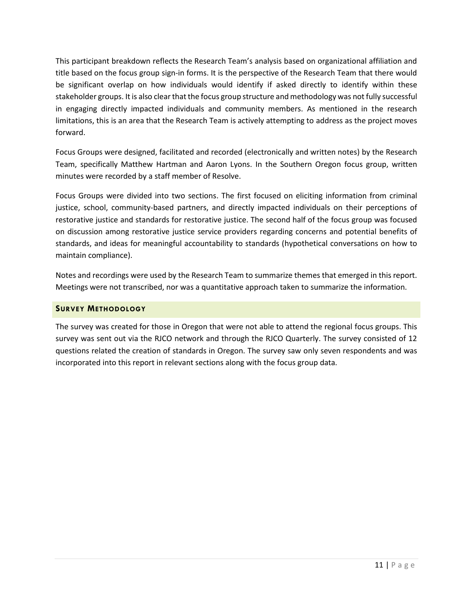This participant breakdown reflects the Research Team's analysis based on organizational affiliation and title based on the focus group sign-in forms. It is the perspective of the Research Team that there would be significant overlap on how individuals would identify if asked directly to identify within these stakeholder groups. It is also clear that the focus group structure and methodology was not fully successful in engaging directly impacted individuals and community members. As mentioned in the research limitations, this is an area that the Research Team is actively attempting to address as the project moves forward.

Focus Groups were designed, facilitated and recorded (electronically and written notes) by the Research Team, specifically Matthew Hartman and Aaron Lyons. In the Southern Oregon focus group, written minutes were recorded by a staff member of Resolve.

Focus Groups were divided into two sections. The first focused on eliciting information from criminal justice, school, community-based partners, and directly impacted individuals on their perceptions of restorative justice and standards for restorative justice. The second half of the focus group was focused on discussion among restorative justice service providers regarding concerns and potential benefits of standards, and ideas for meaningful accountability to standards (hypothetical conversations on how to maintain compliance).

Notes and recordings were used by the Research Team to summarize themes that emerged in this report. Meetings were not transcribed, nor was a quantitative approach taken to summarize the information.

# <span id="page-11-0"></span>**SURVEY METHODOLOGY**

The survey was created for those in Oregon that were not able to attend the regional focus groups. This survey was sent out via the RJCO network and through the RJCO Quarterly. The survey consisted of 12 questions related the creation of standards in Oregon. The survey saw only seven respondents and was incorporated into this report in relevant sections along with the focus group data.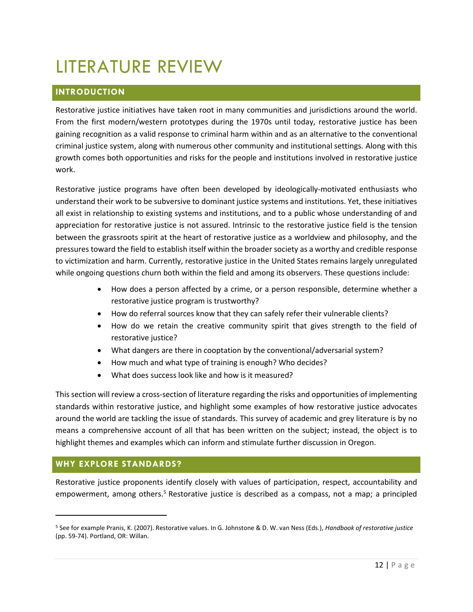# <span id="page-12-0"></span>LITERATURE REVIEW

# <span id="page-12-1"></span>**INTRODUCTION**

Restorative justice initiatives have taken root in many communities and jurisdictions around the world. From the first modern/western prototypes during the 1970s until today, restorative justice has been gaining recognition as a valid response to criminal harm within and as an alternative to the conventional criminal justice system, along with numerous other community and institutional settings. Along with this growth comes both opportunities and risks for the people and institutions involved in restorative justice work.

Restorative justice programs have often been developed by ideologically-motivated enthusiasts who understand their work to be subversive to dominant justice systems and institutions. Yet, these initiatives all exist in relationship to existing systems and institutions, and to a public whose understanding of and appreciation for restorative justice is not assured. Intrinsic to the restorative justice field is the tension between the grassroots spirit at the heart of restorative justice as a worldview and philosophy, and the pressures toward the field to establish itself within the broader society as a worthy and credible response to victimization and harm. Currently, restorative justice in the United States remains largely unregulated while ongoing questions churn both within the field and among its observers. These questions include:

- How does a person affected by a crime, or a person responsible, determine whether a restorative justice program is trustworthy?
- How do referral sources know that they can safely refer their vulnerable clients?
- How do we retain the creative community spirit that gives strength to the field of restorative justice?
- What dangers are there in cooptation by the conventional/adversarial system?
- How much and what type of training is enough? Who decides?
- What does success look like and how is it measured?

This section will review a cross-section of literature regarding the risks and opportunities of implementing standards within restorative justice, and highlight some examples of how restorative justice advocates around the world are tackling the issue of standards. This survey of academic and grey literature is by no means a comprehensive account of all that has been written on the subject; instead, the object is to highlight themes and examples which can inform and stimulate further discussion in Oregon.

# <span id="page-12-2"></span>**WHY EXPLORE STANDARDS?**

l

Restorative justice proponents identify closely with values of participation, respect, accountability and empowerment, among others.<sup>5</sup> Restorative justice is described as a compass, not a map; a principled

<sup>5</sup> See for example Pranis, K. (2007). Restorative values. In G. Johnstone & D. W. van Ness (Eds.), *Handbook of restorative justice* (pp. 59-74). Portland, OR: Willan.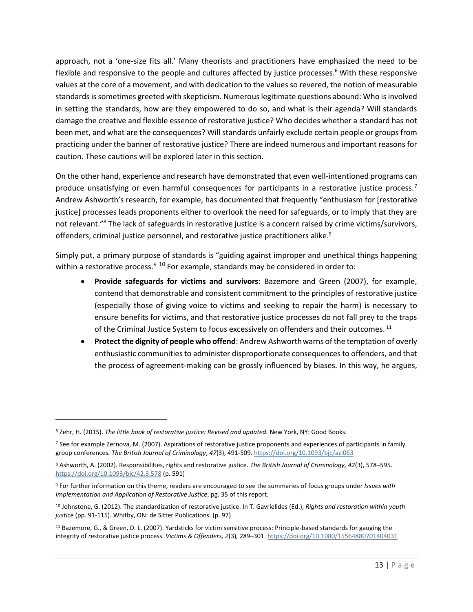approach, not a 'one-size fits all.' Many theorists and practitioners have emphasized the need to be flexible and responsive to the people and cultures affected by justice processes.<sup>6</sup> With these responsive values at the core of a movement, and with dedication to the values so revered, the notion of measurable standards is sometimes greeted with skepticism. Numerous legitimate questions abound: Who is involved in setting the standards, how are they empowered to do so, and what is their agenda? Will standards damage the creative and flexible essence of restorative justice? Who decides whether a standard has not been met, and what are the consequences? Will standards unfairly exclude certain people or groups from practicing under the banner of restorative justice? There are indeed numerous and important reasons for caution. These cautions will be explored later in this section.

On the other hand, experience and research have demonstrated that even well-intentioned programs can produce unsatisfying or even harmful consequences for participants in a restorative justice process.<sup>7</sup> Andrew Ashworth's research, for example, has documented that frequently "enthusiasm for [restorative justice] processes leads proponents either to overlook the need for safeguards, or to imply that they are not relevant."<sup>8</sup> The lack of safeguards in restorative justice is a concern raised by crime victims/survivors, offenders, criminal justice personnel, and restorative justice practitioners alike.<sup>9</sup>

Simply put, a primary purpose of standards is "guiding against improper and unethical things happening within a restorative process."  $^{10}$  For example, standards may be considered in order to:

- **Provide safeguards for victims and survivors**: Bazemore and Green (2007), for example, contend that demonstrable and consistent commitment to the principles of restorative justice (especially those of giving voice to victims and seeking to repair the harm) is necessary to ensure benefits for victims, and that restorative justice processes do not fall prey to the traps of the Criminal Justice System to focus excessively on offenders and their outcomes.<sup>11</sup>
- **Protect the dignity of people who offend**: Andrew Ashworthwarns of the temptation of overly enthusiastic communities to administer disproportionate consequences to offenders, and that the process of agreement-making can be grossly influenced by biases. In this way, he argues,

 $\overline{\phantom{a}}$ 

<sup>6</sup> Zehr, H. (2015). *The little book of restorative justice: Revised and updated.* New York, NY: Good Books.

<sup>7</sup> See for example Zernova, M. (2007). Aspirations of restorative justice proponents and experiences of participants in family group conferences. *The British Journal of Criminology*, *47*(3), 491-509.<https://doi.org/10.1093/bjc/azl063>

<sup>8</sup> Ashworth, A. (2002). Responsibilities, rights and restorative justice. *The British Journal of Criminology, 42*(3), 578–595. <https://doi.org/10.1093/bjc/42.3.578> (p. 591)

<sup>9</sup> For further information on this theme, readers are encouraged to see the summaries of focus groups under *Issues with Implementation and Application of Restorative Justice*, pg. 35 of this report.

<sup>10</sup> Johnstone, G. (2012). The standardization of restorative justice. In T. Gavrielides (Ed.), *Rights and restoration within youth justice* (pp. 91-115). Whitby, ON: de Sitter Publications. (p. 97)

<sup>11</sup> Bazemore, G., & Green, D. L. (2007). Yardsticks for victim sensitive process: Principle-based standards for gauging the integrity of restorative justice process. *Victims & Offenders, 2*(3)*,* 289–301[. https://doi.org/10.1080/15564880701404031](https://doi.org/10.1080/15564880701404031)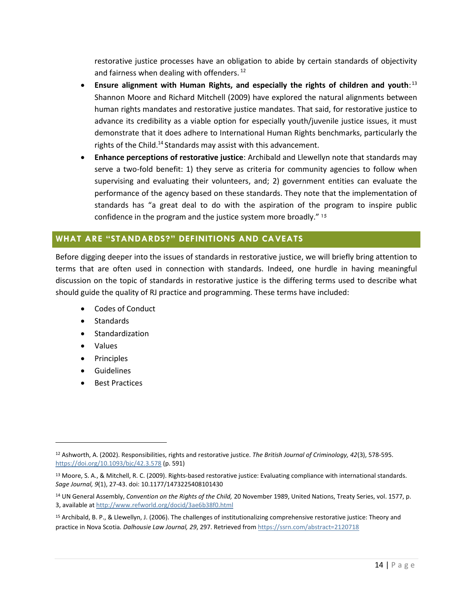restorative justice processes have an obligation to abide by certain standards of objectivity and fairness when dealing with offenders. <sup>12</sup>

- **Ensure alignment with Human Rights, and especially the rights of children and youth**: 13 Shannon Moore and Richard Mitchell (2009) have explored the natural alignments between human rights mandates and restorative justice mandates. That said, for restorative justice to advance its credibility as a viable option for especially youth/juvenile justice issues, it must demonstrate that it does adhere to International Human Rights benchmarks, particularly the rights of the Child.<sup>14</sup> Standards may assist with this advancement.
- **Enhance perceptions of restorative justice**: Archibald and Llewellyn note that standards may serve a two-fold benefit: 1) they serve as criteria for community agencies to follow when supervising and evaluating their volunteers, and; 2) government entities can evaluate the performance of the agency based on these standards. They note that the implementation of standards has "a great deal to do with the aspiration of the program to inspire public confidence in the program and the justice system more broadly." <sup>15</sup>

# <span id="page-14-0"></span>**WHAT ARE "STANDARDS?" DEFINITIONS AND CAVEATS**

Before digging deeper into the issues of standards in restorative justice, we will briefly bring attention to terms that are often used in connection with standards. Indeed, one hurdle in having meaningful discussion on the topic of standards in restorative justice is the differing terms used to describe what should guide the quality of RJ practice and programming. These terms have included:

- Codes of Conduct
- Standards
- **Standardization**
- Values

 $\overline{\phantom{a}}$ 

- Principles
- **Guidelines**
- **Best Practices**

<sup>12</sup> Ashworth, A. (2002). Responsibilities, rights and restorative justice. *The British Journal of Criminology, 42*(3), 578-595. <https://doi.org/10.1093/bjc/42.3.578> (p. 591)

<sup>13</sup> Moore, S. A., & Mitchell, R. C. (2009). Rights-based restorative justice: Evaluating compliance with international standards. *Sage Journal, 9*(1), 27-43. doi: 10.1177/1473225408101430

<sup>14</sup> UN General Assembly, *Convention on the Rights of the Child,* 20 November 1989, United Nations, Treaty Series, vol. 1577, p. 3, available a[t http://www.refworld.org/docid/3ae6b38f0.html](http://www.refworld.org/docid/3ae6b38f0.html)

<sup>15</sup> Archibald, B. P., & Llewellyn, J. (2006). The challenges of institutionalizing comprehensive restorative justice: Theory and practice in Nova Scotia*. Dalhousie Law Journal, 29*, 297. Retrieved from<https://ssrn.com/abstract=2120718>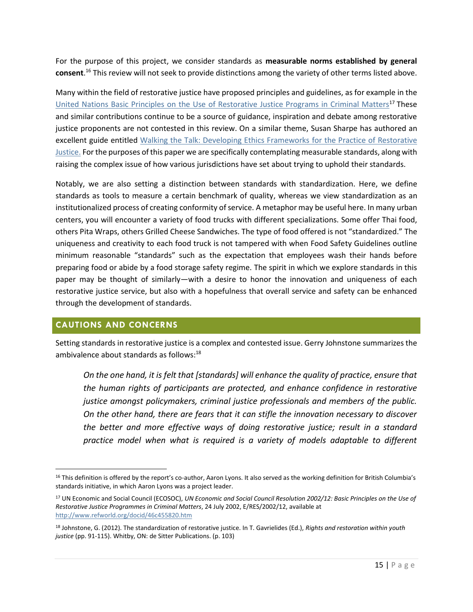For the purpose of this project, we consider standards as **measurable norms established by general consent**. <sup>16</sup> This review will not seek to provide distinctions among the variety of other terms listed above.

Many within the field of restorative justice have proposed principles and guidelines, as for example in the [United Nations Basic Principles on the Use of Restorative Justice Programs in Criminal Matters](http://www.refworld.org/docid/46c455820.html)<sup>17</sup> These and similar contributions continue to be a source of guidance, inspiration and debate among restorative justice proponents are not contested in this review. On a similar theme, Susan Sharpe has authored an excellent guide entitled [Walking the Talk: Developing Ethics Frameworks for the Practice of](http://cjibc.org/Walking_the_Talk_WEB.pdf) Restorative [Justice.](http://cjibc.org/Walking_the_Talk_WEB.pdf) For the purposes of this paper we are specifically contemplating measurable standards, along with raising the complex issue of how various jurisdictions have set about trying to uphold their standards.

Notably, we are also setting a distinction between standards with standardization. Here, we define standards as tools to measure a certain benchmark of quality, whereas we view standardization as an institutionalized process of creating conformity of service. A metaphor may be useful here. In many urban centers, you will encounter a variety of food trucks with different specializations. Some offer Thai food, others Pita Wraps, others Grilled Cheese Sandwiches. The type of food offered is not "standardized." The uniqueness and creativity to each food truck is not tampered with when Food Safety Guidelines outline minimum reasonable "standards" such as the expectation that employees wash their hands before preparing food or abide by a food storage safety regime. The spirit in which we explore standards in this paper may be thought of similarly—with a desire to honor the innovation and uniqueness of each restorative justice service, but also with a hopefulness that overall service and safety can be enhanced through the development of standards.

# <span id="page-15-0"></span>**CAUTIONS AND CONCERNS**

 $\overline{\phantom{a}}$ 

Setting standards in restorative justice is a complex and contested issue. Gerry Johnstone summarizes the ambivalence about standards as follows: $18$ 

*On the one hand, it is felt that [standards] will enhance the quality of practice, ensure that the human rights of participants are protected, and enhance confidence in restorative justice amongst policymakers, criminal justice professionals and members of the public. On the other hand, there are fears that it can stifle the innovation necessary to discover the better and more effective ways of doing restorative justice; result in a standard practice model when what is required is a variety of models adaptable to different* 

<sup>&</sup>lt;sup>16</sup> This definition is offered by the report's co-author, Aaron Lyons. It also served as the working definition for British Columbia's standards initiative, in which Aaron Lyons was a project leader.

<sup>17</sup> UN Economic and Social Council (ECOSOC), *UN Economic and Social Council Resolution 2002/12: Basic Principles on the Use of Restorative Justice Programmes in Criminal Matters*, 24 July 2002, E/RES/2002/12, available at <http://www.refworld.org/docid/46c455820.htm>

<sup>18</sup> Johnstone, G. (2012). The standardization of restorative justice. In T. Gavrielides (Ed.), *Rights and restoration within youth justice* (pp. 91-115). Whitby, ON: de Sitter Publications. (p. 103)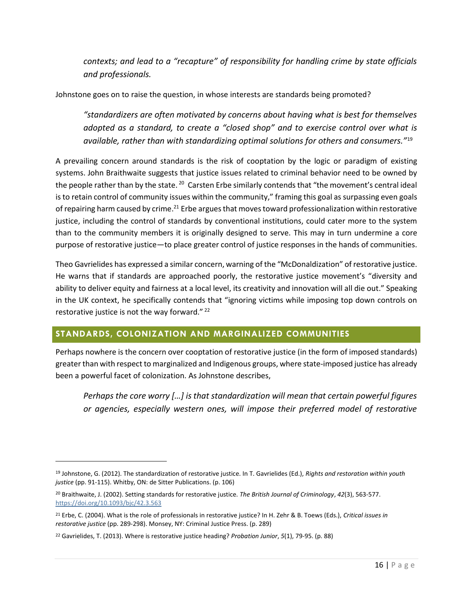*contexts; and lead to a "recapture" of responsibility for handling crime by state officials and professionals.*

Johnstone goes on to raise the question, in whose interests are standards being promoted?

*"standardizers are often motivated by concerns about having what is best for themselves adopted as a standard, to create a "closed shop" and to exercise control over what is available, rather than with standardizing optimal solutions for others and consumers."*<sup>19</sup>

A prevailing concern around standards is the risk of cooptation by the logic or paradigm of existing systems. John Braithwaite suggests that justice issues related to criminal behavior need to be owned by the people rather than by the state. <sup>20</sup> Carsten Erbe similarly contends that "the movement's central ideal is to retain control of community issues within the community," framing this goal as surpassing even goals of repairing harm caused by crime.<sup>21</sup> Erbe argues that moves toward professionalization within restorative justice, including the control of standards by conventional institutions, could cater more to the system than to the community members it is originally designed to serve. This may in turn undermine a core purpose of restorative justice—to place greater control of justice responses in the hands of communities.

Theo Gavrielides has expressed a similar concern, warning of the "McDonaldization" of restorative justice. He warns that if standards are approached poorly, the restorative justice movement's "diversity and ability to deliver equity and fairness at a local level, its creativity and innovation will all die out." Speaking in the UK context, he specifically contends that "ignoring victims while imposing top down controls on restorative justice is not the way forward." $^{22}$ 

# <span id="page-16-0"></span>**STANDARDS, COLONIZATION AND MARGINALIZED COMMUNITIES**

Perhaps nowhere is the concern over cooptation of restorative justice (in the form of imposed standards) greaterthan with respect to marginalized and Indigenous groups, where state-imposed justice has already been a powerful facet of colonization. As Johnstone describes,

*Perhaps the core worry […] is that standardization will mean that certain powerful figures or agencies, especially western ones, will impose their preferred model of restorative* 

 $\overline{\phantom{a}}$ 

<sup>19</sup> Johnstone, G. (2012). The standardization of restorative justice. In T. Gavrielides (Ed.), *Rights and restoration within youth justice* (pp. 91-115). Whitby, ON: de Sitter Publications. (p. 106)

<sup>20</sup> Braithwaite, J. (2002). Setting standards for restorative justice. *The British Journal of Criminology*, *42*(3), 563-577. <https://doi.org/10.1093/bjc/42.3.563>

<sup>21</sup> Erbe, C. (2004). What is the role of professionals in restorative justice? In H. Zehr & B. Toews (Eds.), *Critical issues in restorative justice* (pp. 289-298). Monsey, NY: Criminal Justice Press. (p. 289)

<sup>22</sup> Gavrielides, T. (2013). Where is restorative justice heading? *Probation Junior*, *5*(1), 79-95. (p. 88)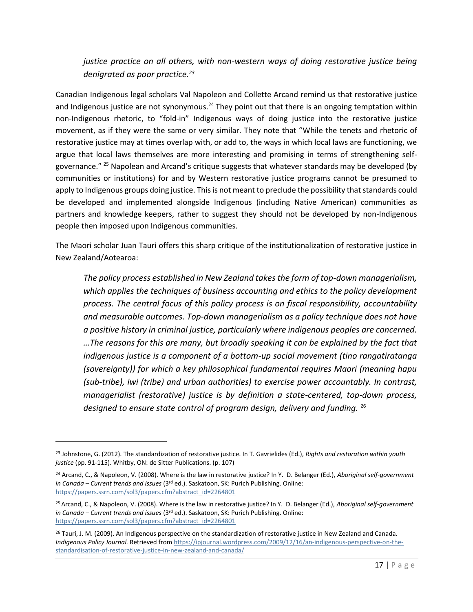# *justice practice on all others, with non-western ways of doing restorative justice being denigrated as poor practice.<sup>23</sup>*

Canadian Indigenous legal scholars Val Napoleon and Collette Arcand remind us that restorative justice and Indigenous justice are not synonymous.<sup>24</sup> They point out that there is an ongoing temptation within non-Indigenous rhetoric, to "fold-in" Indigenous ways of doing justice into the restorative justice movement, as if they were the same or very similar. They note that "While the tenets and rhetoric of restorative justice may at times overlap with, or add to, the ways in which local laws are functioning, we argue that local laws themselves are more interesting and promising in terms of strengthening selfgovernance." <sup>25</sup> Napolean and Arcand's critique suggests that whatever standards may be developed (by communities or institutions) for and by Western restorative justice programs cannot be presumed to apply to Indigenous groups doing justice. This is not meant to preclude the possibility that standards could be developed and implemented alongside Indigenous (including Native American) communities as partners and knowledge keepers, rather to suggest they should not be developed by non-Indigenous people then imposed upon Indigenous communities.

The Maori scholar Juan Tauri offers this sharp critique of the institutionalization of restorative justice in New Zealand/Aotearoa:

*The policy process established in New Zealand takes the form of top-down managerialism, which applies the techniques of business accounting and ethics to the policy development process. The central focus of this policy process is on fiscal responsibility, accountability and measurable outcomes. Top-down managerialism as a policy technique does not have a positive history in criminal justice, particularly where indigenous peoples are concerned. …The reasons for this are many, but broadly speaking it can be explained by the fact that indigenous justice is a component of a bottom-up social movement (tino rangatiratanga (sovereignty)) for which a key philosophical fundamental requires Maori (meaning hapu (sub-tribe), iwi (tribe) and urban authorities) to exercise power accountably. In contrast, managerialist (restorative) justice is by definition a state-centered, top-down process, designed to ensure state control of program design, delivery and funding.* <sup>26</sup>

 $\overline{\phantom{a}}$ 

<sup>23</sup> Johnstone, G. (2012). The standardization of restorative justice. In T. Gavrielides (Ed.), *Rights and restoration within youth justice* (pp. 91-115). Whitby, ON: de Sitter Publications. (p. 107)

<sup>24</sup> Arcand, C., & Napoleon, V. (2008). Where is the law in restorative justice? In Y. D. Belanger (Ed.), *Aboriginal self-government in Canada – Current trends and issues* (3rd ed.). Saskatoon, SK: Purich Publishing. Online: [https://papers.ssrn.com/sol3/papers.cfm?abstract\\_id=2264801](https://papers.ssrn.com/sol3/papers.cfm?abstract_id=2264801) 

<sup>25</sup>Arcand, C., & Napoleon, V. (2008). Where is the law in restorative justice? In Y. D. Belanger (Ed.), *Aboriginal self-government in Canada – Current trends and issues* (3rd ed.). Saskatoon, SK: Purich Publishing. Online: https://papers.ssrn.com/sol3/papers.cfm?abstract\_id=2264801

<sup>&</sup>lt;sup>26</sup> Tauri, J. M. (2009). An Indigenous perspective on the standardization of restorative justice in New Zealand and Canada. *Indigenous Policy Journal.* Retrieved fro[m https://ipjournal.wordpress.com/2009/12/16/an-indigenous-perspective-on-the](https://ipjournal.wordpress.com/2009/12/16/an-indigenous-perspective-on-the-standardisation-of-restorative-justice-in-new-zealand-and-canada/)[standardisation-of-restorative-justice-in-new-zealand-and-canada/](https://ipjournal.wordpress.com/2009/12/16/an-indigenous-perspective-on-the-standardisation-of-restorative-justice-in-new-zealand-and-canada/)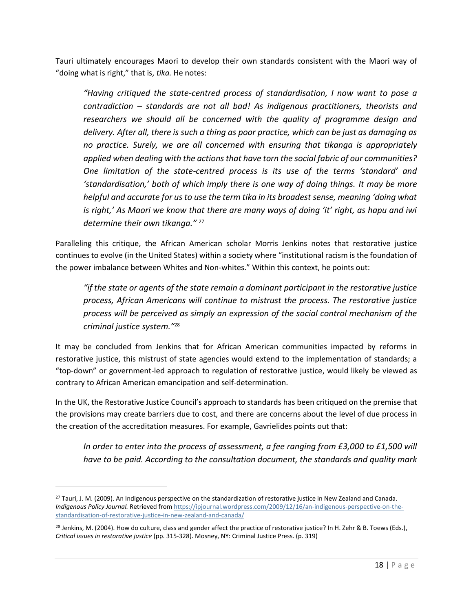Tauri ultimately encourages Maori to develop their own standards consistent with the Maori way of "doing what is right," that is, *tika.* He notes:

*"Having critiqued the state-centred process of standardisation, I now want to pose a contradiction – standards are not all bad! As indigenous practitioners, theorists and researchers we should all be concerned with the quality of programme design and delivery. After all, there is such a thing as poor practice, which can be just as damaging as no practice. Surely, we are all concerned with ensuring that tikanga is appropriately applied when dealing with the actions that have torn the social fabric of our communities? One limitation of the state-centred process is its use of the terms 'standard' and 'standardisation,' both of which imply there is one way of doing things. It may be more helpful and accurate for us to use the term tika in its broadest sense, meaning 'doing what is right,' As Maori we know that there are many ways of doing 'it' right, as hapu and iwi determine their own tikanga."* <sup>27</sup>

Paralleling this critique, the African American scholar Morris Jenkins notes that restorative justice continues to evolve (in the United States) within a society where "institutional racism is the foundation of the power imbalance between Whites and Non-whites." Within this context, he points out:

*"if the state or agents of the state remain a dominant participant in the restorative justice process, African Americans will continue to mistrust the process. The restorative justice process will be perceived as simply an expression of the social control mechanism of the criminal justice system."*<sup>28</sup>

It may be concluded from Jenkins that for African American communities impacted by reforms in restorative justice, this mistrust of state agencies would extend to the implementation of standards; a "top-down" or government-led approach to regulation of restorative justice, would likely be viewed as contrary to African American emancipation and self-determination.

In the UK, the Restorative Justice Council's approach to standards has been critiqued on the premise that the provisions may create barriers due to cost, and there are concerns about the level of due process in the creation of the accreditation measures. For example, Gavrielides points out that:

*In order to enter into the process of assessment, a fee ranging from £3,000 to £1,500 will have to be paid. According to the consultation document, the standards and quality mark* 

 $\overline{a}$ 

<sup>&</sup>lt;sup>27</sup> Tauri, J. M. (2009). An Indigenous perspective on the standardization of restorative justice in New Zealand and Canada. *Indigenous Policy Journal.* Retrieved fro[m https://ipjournal.wordpress.com/2009/12/16/an-indigenous-perspective-on-the](https://ipjournal.wordpress.com/2009/12/16/an-indigenous-perspective-on-the-standardisation-of-restorative-justice-in-new-zealand-and-canada/)[standardisation-of-restorative-justice-in-new-zealand-and-canada/](https://ipjournal.wordpress.com/2009/12/16/an-indigenous-perspective-on-the-standardisation-of-restorative-justice-in-new-zealand-and-canada/)

<sup>&</sup>lt;sup>28</sup> Jenkins, M. (2004). How do culture, class and gender affect the practice of restorative justice? In H. Zehr & B. Toews (Eds.), *Critical issues in restorative justice* (pp. 315-328). Mosney, NY: Criminal Justice Press. (p. 319)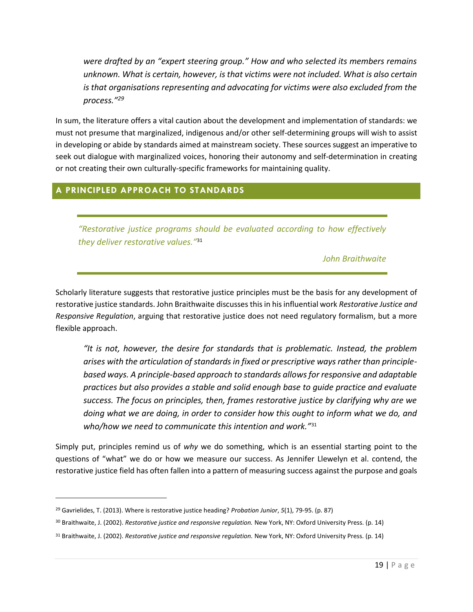*were drafted by an "expert steering group." How and who selected its members remains unknown. What is certain, however, is that victims were not included. What is also certain is that organisations representing and advocating for victims were also excluded from the process."<sup>29</sup>* 

In sum, the literature offers a vital caution about the development and implementation of standards: we must not presume that marginalized, indigenous and/or other self-determining groups will wish to assist in developing or abide by standards aimed at mainstream society. These sources suggest an imperative to seek out dialogue with marginalized voices, honoring their autonomy and self-determination in creating or not creating their own culturally-specific frameworks for maintaining quality.

# <span id="page-19-0"></span>**A PRINCIPLED APPROACH TO STANDARDS**

*"Restorative justice programs should be evaluated according to how effectively they deliver restorative values."*<sup>31</sup>

*John Braithwaite*

Scholarly literature suggests that restorative justice principles must be the basis for any development of restorative justice standards. John Braithwaite discusses this in his influential work *Restorative Justice and Responsive Regulation*, arguing that restorative justice does not need regulatory formalism, but a more flexible approach.

*"It is not, however, the desire for standards that is problematic. Instead, the problem arises with the articulation of standards in fixed or prescriptive ways rather than principlebased ways. A principle-based approach to standards allows for responsive and adaptable practices but also provides a stable and solid enough base to guide practice and evaluate success. The focus on principles, then, frames restorative justice by clarifying why are we doing what we are doing, in order to consider how this ought to inform what we do, and who/how we need to communicate this intention and work."*<sup>31</sup>

Simply put, principles remind us of *why* we do something, which is an essential starting point to the questions of "what" we do or how we measure our success. As Jennifer Llewelyn et al. contend, the restorative justice field has often fallen into a pattern of measuring success against the purpose and goals

 $\overline{\phantom{a}}$ 

<sup>29</sup> Gavrielides, T. (2013). Where is restorative justice heading? *Probation Junior*, *5*(1), 79-95. (p. 87)

<sup>30</sup> Braithwaite, J. (2002). *Restorative justice and responsive regulation.* New York, NY: Oxford University Press. (p. 14)

<sup>31</sup> Braithwaite, J. (2002). *Restorative justice and responsive regulation.* New York, NY: Oxford University Press. (p. 14)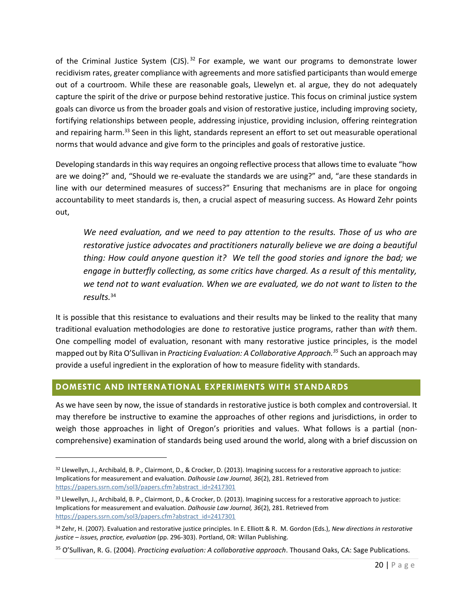of the Criminal Justice System (CJS).<sup>32</sup> For example, we want our programs to demonstrate lower recidivism rates, greater compliance with agreements and more satisfied participants than would emerge out of a courtroom. While these are reasonable goals, Llewelyn et. al argue, they do not adequately capture the spirit of the drive or purpose behind restorative justice. This focus on criminal justice system goals can divorce us from the broader goals and vision of restorative justice, including improving society, fortifying relationships between people, addressing injustice, providing inclusion, offering reintegration and repairing harm.<sup>33</sup> Seen in this light, standards represent an effort to set out measurable operational norms that would advance and give form to the principles and goals of restorative justice.

Developing standards in this way requires an ongoing reflective process that allows time to evaluate "how are we doing?" and, "Should we re-evaluate the standards we are using?" and, "are these standards in line with our determined measures of success?" Ensuring that mechanisms are in place for ongoing accountability to meet standards is, then, a crucial aspect of measuring success. As Howard Zehr points out,

*We need evaluation, and we need to pay attention to the results. Those of us who are restorative justice advocates and practitioners naturally believe we are doing a beautiful thing: How could anyone question it? We tell the good stories and ignore the bad; we engage in butterfly collecting, as some critics have charged. As a result of this mentality, we tend not to want evaluation. When we are evaluated, we do not want to listen to the results.*<sup>34</sup>

It is possible that this resistance to evaluations and their results may be linked to the reality that many traditional evaluation methodologies are done *to* restorative justice programs, rather than *with* them. One compelling model of evaluation, resonant with many restorative justice principles, is the model mapped out by Rita O'Sullivan in *Practicing Evaluation: A Collaborative Approach. <sup>35</sup>* Such an approach may provide a useful ingredient in the exploration of how to measure fidelity with standards.

# <span id="page-20-0"></span>**DOMESTIC AND INTERNATIONAL EXPERIMENTS WITH STANDARDS**

 $\overline{a}$ 

As we have seen by now, the issue of standards in restorative justice is both complex and controversial. It may therefore be instructive to examine the approaches of other regions and jurisdictions, in order to weigh those approaches in light of Oregon's priorities and values. What follows is a partial (noncomprehensive) examination of standards being used around the world, along with a brief discussion on

<sup>32</sup> Llewellyn, J., Archibald, B. P., Clairmont, D., & Crocker, D. (2013). Imagining success for a restorative approach to justice: Implications for measurement and evaluation. *Dalhousie Law Journal, 36*(2), 281. Retrieved from [https://papers.ssrn.com/sol3/papers.cfm?abstract\\_id=2417301](https://papers.ssrn.com/sol3/papers.cfm?abstract_id=2417301)

<sup>33</sup> Llewellyn, J., Archibald, B. P., Clairmont, D., & Crocker, D. (2013). Imagining success for a restorative approach to justice: Implications for measurement and evaluation. *Dalhousie Law Journal, 36*(2), 281. Retrieved from [https://papers.ssrn.com/sol3/papers.cfm?abstract\\_id=2417301](https://papers.ssrn.com/sol3/papers.cfm?abstract_id=2417301)

<sup>34</sup> Zehr, H. (2007). Evaluation and restorative justice principles. In E. Elliott & R. M. Gordon (Eds.), *New directions in restorative justice – issues, practice, evaluation* (pp. 296-303). Portland, OR: Willan Publishing.

<sup>35</sup> O'Sullivan, R. G. (2004). *Practicing evaluation: A collaborative approach*. Thousand Oaks, CA: Sage Publications.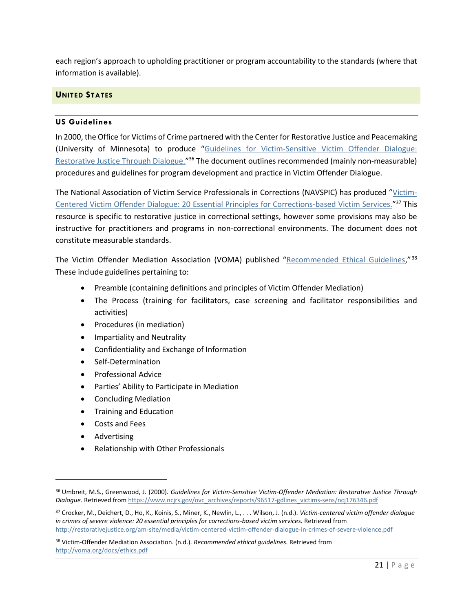each region's approach to upholding practitioner or program accountability to the standards (where that information is available).

# <span id="page-21-0"></span>**UNITED STATES**

#### **US Guidelines**

In 2000, the Office for Victims of Crime partnered with the Center for Restorative Justice and Peacemaking (University of Minnesota) to produce "[Guidelines for Victim-Sensitive Victim Offender Dialogue:](https://www.ncjrs.gov/ovc_archives/reports/96517-gdlines_victims-sens/ncj176346.pdf)  [Restorative Justice Through Dialogue.](https://www.ncjrs.gov/ovc_archives/reports/96517-gdlines_victims-sens/ncj176346.pdf)"<sup>36</sup> The document outlines recommended (mainly non-measurable) procedures and guidelines for program development and practice in Victim Offender Dialogue.

The National Association of Victim Service Professionals in Corrections (NAVSPIC) has produced "[Victim-](http://restorativejustice.org/am-site/media/victim-centered-victim-offender-dialogue-in-crimes-of-severe-violence.pdf)[Centered Victim Offender Dialogue: 20 Essential Principles for Corrections-based Victim Services.](http://restorativejustice.org/am-site/media/victim-centered-victim-offender-dialogue-in-crimes-of-severe-violence.pdf)"<sup>37</sup> This resource is specific to restorative justice in correctional settings, however some provisions may also be instructive for practitioners and programs in non-correctional environments. The document does not constitute measurable standards.

The Victim Offender Mediation Association (VOMA) published "[Recommended Ethical Guidelines](http://voma.org/docs/ethics.pdf)," <sup>38</sup> These include guidelines pertaining to:

- Preamble (containing definitions and principles of Victim Offender Mediation)
- The Process (training for facilitators, case screening and facilitator responsibilities and activities)
- Procedures (in mediation)
- Impartiality and Neutrality
- Confidentiality and Exchange of Information
- Self-Determination
- Professional Advice
- Parties' Ability to Participate in Mediation
- Concluding Mediation
- Training and Education
- Costs and Fees
- Advertising

l

• Relationship with Other Professionals

<sup>36</sup> Umbreit, M.S., Greenwood, J. (2000). *Guidelines for Victim-Sensitive Victim-Offender Mediation: Restorative Justice Through*  Dialogue. Retrieved from [https://www.ncjrs.gov/ovc\\_archives/reports/96517-gdlines\\_victims-sens/ncj176346.pdf](https://www.ncjrs.gov/ovc_archives/reports/96517-gdlines_victims-sens/ncj176346.pdf)

<sup>37</sup> Crocker, M., Deichert, D., Ho, K., Koinis, S., Miner, K., Newlin, L., . . . Wilson, J. (n.d.). *Victim-centered victim offender dialogue in crimes of severe violence: 20 essential principles for corrections-based victim services.* Retrieved from <http://restorativejustice.org/am-site/media/victim-centered-victim-offender-dialogue-in-crimes-of-severe-violence.pdf>

<sup>38</sup> Victim-Offender Mediation Association. (n.d.). *Recommended ethical guidelines.* Retrieved from <http://voma.org/docs/ethics.pdf>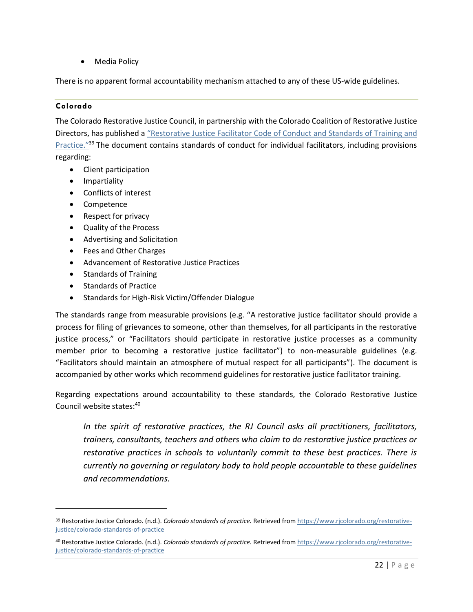• Media Policy

There is no apparent formal accountability mechanism attached to any of these US-wide guidelines.

# **Colorado**

 $\overline{\phantom{a}}$ 

The Colorado Restorative Justice Council, in partnership with the Colorado Coalition of Restorative Justice Directors, has published a ["Restorative Justice Facilitator Code of Conduct and Standards of Trai](https://www.rjcolorado.org/restorative-justice/colorado-standards-of-practice)ning and [Practice."](https://www.rjcolorado.org/restorative-justice/colorado-standards-of-practice)<sup>39</sup> The document contains standards of conduct for individual facilitators, including provisions regarding:

- Client participation
- Impartiality
- Conflicts of interest
- Competence
- Respect for privacy
- Quality of the Process
- Advertising and Solicitation
- Fees and Other Charges
- Advancement of Restorative Justice Practices
- Standards of Training
- Standards of Practice
- Standards for High-Risk Victim/Offender Dialogue

The standards range from measurable provisions (e.g. "A restorative justice facilitator should provide a process for filing of grievances to someone, other than themselves, for all participants in the restorative justice process," or "Facilitators should participate in restorative justice processes as a community member prior to becoming a restorative justice facilitator") to non-measurable guidelines (e.g. "Facilitators should maintain an atmosphere of mutual respect for all participants"). The document is accompanied by other works which recommend guidelines for restorative justice facilitator training.

Regarding expectations around accountability to these standards, the Colorado Restorative Justice Council website states:<sup>40</sup>

*In the spirit of restorative practices, the RJ Council asks all practitioners, facilitators, trainers, consultants, teachers and others who claim to do restorative justice practices or restorative practices in schools to voluntarily commit to these best practices. There is currently no governing or regulatory body to hold people accountable to these guidelines and recommendations.*

<sup>39</sup> Restorative Justice Colorado. (n.d.). *Colorado standards of practice.* Retrieved fro[m https://www.rjcolorado.org/restorative](https://www.rjcolorado.org/restorative-justice/colorado-standards-of-practice)[justice/colorado-standards-of-practice](https://www.rjcolorado.org/restorative-justice/colorado-standards-of-practice)

<sup>40</sup> Restorative Justice Colorado. (n.d.). *Colorado standards of practice.* Retrieved fro[m https://www.rjcolorado.org/restorative](https://www.rjcolorado.org/restorative-justice/colorado-standards-of-practice)[justice/colorado-standards-of-practice](https://www.rjcolorado.org/restorative-justice/colorado-standards-of-practice)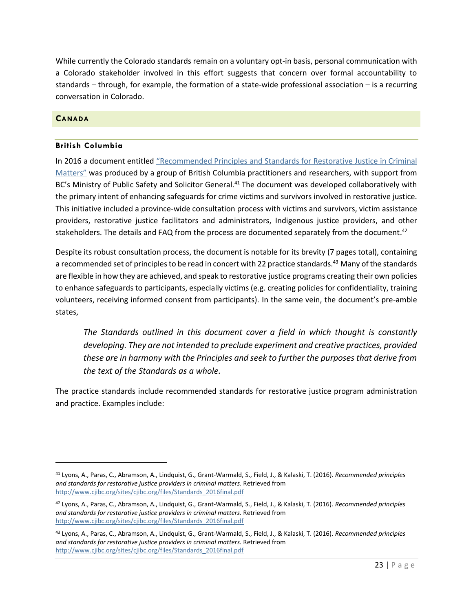While currently the Colorado standards remain on a voluntary opt-in basis, personal communication with a Colorado stakeholder involved in this effort suggests that concern over formal accountability to standards – through, for example, the formation of a state-wide professional association – is a recurring conversation in Colorado.

## <span id="page-23-0"></span>**CANADA**

 $\overline{\phantom{a}}$ 

## **British Columbia**

In 2016 a document entitled "Recommended Principles and Stan[dards for Restorative Justice in Criminal](http://www.cjibc.org/sites/cjibc.org/files/Standards_2016final.pdf)  [Matters"](http://www.cjibc.org/sites/cjibc.org/files/Standards_2016final.pdf) was produced by a group of British Columbia practitioners and researchers, with support from BC's Ministry of Public Safety and Solicitor General.<sup>41</sup> The document was developed collaboratively with the primary intent of enhancing safeguards for crime victims and survivors involved in restorative justice. This initiative included a province-wide consultation process with victims and survivors, victim assistance providers, restorative justice facilitators and administrators, Indigenous justice providers, and other stakeholders. The details and FAQ from the process are documented separately from the document.<sup>42</sup>

Despite its robust consultation process, the document is notable for its brevity (7 pages total), containing a recommended set of principles to be read in concert with 22 practice standards.<sup>43</sup> Many of the standards are flexible in how they are achieved, and speak to restorative justice programs creating their own policies to enhance safeguards to participants, especially victims (e.g. creating policies for confidentiality, training volunteers, receiving informed consent from participants). In the same vein, the document's pre-amble states,

*The Standards outlined in this document cover a field in which thought is constantly developing. They are not intended to preclude experiment and creative practices, provided these are in harmony with the Principles and seek to further the purposes that derive from the text of the Standards as a whole.*

The practice standards include recommended standards for restorative justice program administration and practice. Examples include:

<sup>41</sup> Lyons, A., Paras, C., Abramson, A., Lindquist, G., Grant-Warmald, S., Field, J., & Kalaski, T. (2016). *Recommended principles and standards for restorative justice providers in criminal matters.* Retrieved from [http://www.cjibc.org/sites/cjibc.org/files/Standards\\_2016final.pdf](http://www.cjibc.org/sites/cjibc.org/files/Standards_2016final.pdf)

<sup>42</sup> Lyons, A., Paras, C., Abramson, A., Lindquist, G., Grant-Warmald, S., Field, J., & Kalaski, T. (2016). *Recommended principles and standards for restorative justice providers in criminal matters.* Retrieved from [http://www.cjibc.org/sites/cjibc.org/files/Standards\\_2016final.pdf](http://www.cjibc.org/sites/cjibc.org/files/Standards_2016final.pdf)

<sup>43</sup> Lyons, A., Paras, C., Abramson, A., Lindquist, G., Grant-Warmald, S., Field, J., & Kalaski, T. (2016). *Recommended principles and standards for restorative justice providers in criminal matters.* Retrieved from [http://www.cjibc.org/sites/cjibc.org/files/Standards\\_2016final.pdf](http://www.cjibc.org/sites/cjibc.org/files/Standards_2016final.pdf)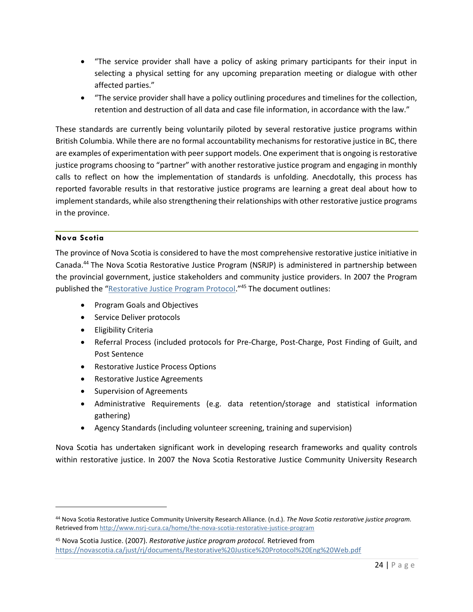- "The service provider shall have a policy of asking primary participants for their input in selecting a physical setting for any upcoming preparation meeting or dialogue with other affected parties."
- "The service provider shall have a policy outlining procedures and timelines for the collection, retention and destruction of all data and case file information, in accordance with the law."

These standards are currently being voluntarily piloted by several restorative justice programs within British Columbia. While there are no formal accountability mechanisms for restorative justice in BC, there are examples of experimentation with peer support models. One experiment that is ongoing is restorative justice programs choosing to "partner" with another restorative justice program and engaging in monthly calls to reflect on how the implementation of standards is unfolding. Anecdotally, this process has reported favorable results in that restorative justice programs are learning a great deal about how to implement standards, while also strengthening their relationships with other restorative justice programs in the province.

# **Nova Scotia**

 $\overline{\phantom{a}}$ 

The province of Nova Scotia is considered to have the most comprehensive restorative justice initiative in Canada.<sup>44</sup> The Nova Scotia Restorative Justice Program (NSRJP) is administered in partnership between the provincial government, justice stakeholders and community justice providers. In 2007 the Program published the "**[Restorative Justice Program Protocol.](https://novascotia.ca/just/rj/documents/Restorative%20Justice%20Protocol%20Eng%20Web.pdf)"<sup>45</sup> The document outlines:** 

- Program Goals and Objectives
- Service Deliver protocols
- Eligibility Criteria
- Referral Process (included protocols for Pre-Charge, Post-Charge, Post Finding of Guilt, and Post Sentence
- Restorative Justice Process Options
- Restorative Justice Agreements
- Supervision of Agreements
- Administrative Requirements (e.g. data retention/storage and statistical information gathering)
- Agency Standards (including volunteer screening, training and supervision)

Nova Scotia has undertaken significant work in developing research frameworks and quality controls within restorative justice. In 2007 the Nova Scotia Restorative Justice Community University Research

<sup>44</sup> Nova Scotia Restorative Justice Community University Research Alliance. (n.d.). *The Nova Scotia restorative justice program.*  Retrieved fro[m http://www.nsrj-cura.ca/home/the-nova-scotia-restorative-justice-program](http://www.nsrj-cura.ca/home/the-nova-scotia-restorative-justice-program)

<sup>45</sup> Nova Scotia Justice. (2007). *Restorative justice program protocol.* Retrieved from <https://novascotia.ca/just/rj/documents/Restorative%20Justice%20Protocol%20Eng%20Web.pdf>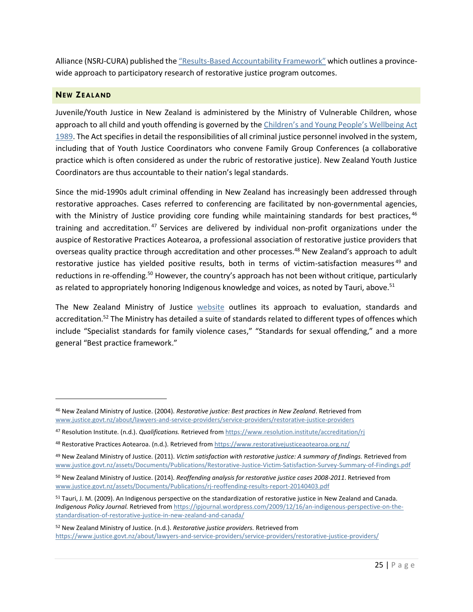Alliance (NSRJ-CURA) published the "Results-Base[d Accountability Framework"](https://0ed62d3e-a-62cb3a1a-s-sites.googlegroups.com/site/nsrjcura/RMAF_2007-08-20.pdf?attachauth=ANoY7cqQmrFqJRSYccMb2HpnngXQwtlZNEd6aGlg0Gu0bZgd4DIGk5HK4A6Sy1Fbn_VVKxxHJgeqm6a9Rct9_D6tUWEEygmdHxituAHDWUlWqcTkFyH3xwHrXCZyRHKJB48SvCOmHuwVPg4XoJfnLet99KmS5vMjH_dEAWimyOlO0a-ZdZzUBQFfUFMUUknuExAirdKBfsUSi-vBApTWr_lAeLKSqLuOGg%3D%3D&attredirects=0) which outlines a provincewide approach to participatory research of restorative justice program outcomes.

# <span id="page-25-0"></span>**NEW ZEALAND**

 $\overline{\phantom{a}}$ 

Juvenile/Youth Justice in New Zealand is administered by the Ministry of Vulnerable Children, whose approach to all child and youth offending is governed by the Children's and Young Pe[ople's Wellbeing](http://www.legislation.govt.nz/act/public/1989/0024/121.0/DLM147088.html) Act [1989.](http://www.legislation.govt.nz/act/public/1989/0024/121.0/DLM147088.html) The Act specifies in detail the responsibilities of all criminal justice personnel involved in the system, including that of Youth Justice Coordinators who convene Family Group Conferences (a collaborative practice which is often considered as under the rubric of restorative justice). New Zealand Youth Justice Coordinators are thus accountable to their nation's legal standards.

Since the mid-1990s adult criminal offending in New Zealand has increasingly been addressed through restorative approaches. Cases referred to conferencing are facilitated by non-governmental agencies, with the Ministry of Justice providing core funding while maintaining standards for best practices, 46 training and accreditation. <sup>47</sup> Services are delivered by individual non-profit organizations under the auspice of Restorative Practices Aotearoa, a professional association of restorative justice providers that overseas quality practice through accreditation and other processes.<sup>48</sup> New Zealand's approach to adult restorative justice has yielded positive results, both in terms of victim-satisfaction measures<sup>49</sup> and reductions in re-offending.<sup>50</sup> However, the country's approach has not been without critique, particularly as related to appropriately honoring Indigenous knowledge and voices, as noted by Tauri, above.<sup>51</sup>

The New Zealand Ministry of Justice [website](https://www.justice.govt.nz/about/lawyers-and-service-providers/service-providers/restorative-justice-providers/) outlines its approach to evaluation, standards and accreditation.<sup>52</sup> The Ministry has detailed a suite of standards related to different types of offences which include "Specialist standards for family violence cases," "Standards for sexual offending," and a more general "Best practice framework."

<sup>46</sup> New Zealand Ministry of Justice. (2004). *Restorative justice: Best practices in New Zealand*. Retrieved from [www.justice.govt.nz/about/lawyers-and-service-providers/service-providers/restorative-justice-providers](http://www.justice.govt.nz/about/lawyers-and-service-providers/service-providers/restorative-justice-providers)

<sup>47</sup> Resolution Institute. (n.d.). *Qualifications.* Retrieved from<https://www.resolution.institute/accreditation/rj>

<sup>48</sup> Restorative Practices Aotearoa. (n.d.). Retrieved from<https://www.restorativejusticeaotearoa.org.nz/>

<sup>49</sup> New Zealand Ministry of Justice. (2011). *Victim satisfaction with restorative justice: A summary of findings.* Retrieved from [www.justice.govt.nz/assets/Documents/Publications/Restorative-Justice-Victim-Satisfaction-Survey-Summary-of-Findings.pdf](http://www.justice.govt.nz/assets/Documents/Publications/Restorative-Justice-Victim-Satisfaction-Survey-Summary-of-Findings.pdf)

<sup>50</sup> New Zealand Ministry of Justice. (2014). *Reoffending analysis for restorative justice cases 2008-2011*. Retrieved from [www.justice.govt.nz/assets/Documents/Publications/rj-reoffending-results-report-20140403.pdf](http://www.justice.govt.nz/assets/Documents/Publications/rj-reoffending-results-report-20140403.pdf)

<sup>51</sup> Tauri, J. M. (2009). An Indigenous perspective on the standardization of restorative justice in New Zealand and Canada. *Indigenous Policy Journal.* Retrieved fro[m https://ipjournal.wordpress.com/2009/12/16/an-indigenous-perspective-on-the](https://ipjournal.wordpress.com/2009/12/16/an-indigenous-perspective-on-the-standardisation-of-restorative-justice-in-new-zealand-and-canada/)[standardisation-of-restorative-justice-in-new-zealand-and-canada/](https://ipjournal.wordpress.com/2009/12/16/an-indigenous-perspective-on-the-standardisation-of-restorative-justice-in-new-zealand-and-canada/)

<sup>52</sup> New Zealand Ministry of Justice. (n.d.). *Restorative justice providers.* Retrieved from <https://www.justice.govt.nz/about/lawyers-and-service-providers/service-providers/restorative-justice-providers/>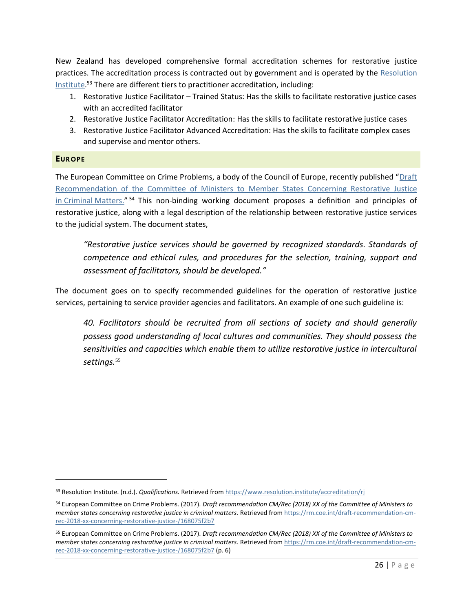New Zealand has developed comprehensive formal accreditation schemes for restorative justice practices. The accreditation process is contracted out by government and is operated by the [Resolution](https://www.resolution.institute/accreditation/rj)  [Institute.](https://www.resolution.institute/accreditation/rj) <sup>53</sup> There are different tiers to practitioner accreditation, including:

- 1. Restorative Justice Facilitator Trained Status: Has the skills to facilitate restorative justice cases with an accredited facilitator
- 2. Restorative Justice Facilitator Accreditation: Has the skills to facilitate restorative justice cases
- 3. Restorative Justice Facilitator Advanced Accreditation: Has the skills to facilitate complex cases and supervise and mentor others.

## <span id="page-26-0"></span>**EUROPE**

l

The European Committee on Crime Problems, a body of the Council of Europe, recently published "[Draft](https://rm.coe.int/draft-recommendation-cm-rec-2018-xx-concerning-restorative-justice-/168075f2b7)  [Recommendation of the Committee of Ministers to Member States Concerning Restorative Justice](https://rm.coe.int/draft-recommendation-cm-rec-2018-xx-concerning-restorative-justice-/168075f2b7)  in Criminal [Matters.](https://rm.coe.int/draft-recommendation-cm-rec-2018-xx-concerning-restorative-justice-/168075f2b7)"<sup>54</sup> This non-binding working document proposes a definition and principles of restorative justice, along with a legal description of the relationship between restorative justice services to the judicial system. The document states,

*"Restorative justice services should be governed by recognized standards. Standards of competence and ethical rules, and procedures for the selection, training, support and assessment of facilitators, should be developed."*

The document goes on to specify recommended guidelines for the operation of restorative justice services, pertaining to service provider agencies and facilitators. An example of one such guideline is:

*40. Facilitators should be recruited from all sections of society and should generally possess good understanding of local cultures and communities. They should possess the sensitivities and capacities which enable them to utilize restorative justice in intercultural settings.*<sup>55</sup>

<sup>53</sup> Resolution Institute. (n.d.). *Qualifications.* Retrieved from<https://www.resolution.institute/accreditation/rj>

<sup>54</sup> European Committee on Crime Problems. (2017). *Draft recommendation CM/Rec (2018) XX of the Committee of Ministers to member states concerning restorative justice in criminal matters.* Retrieved from [https://rm.coe.int/draft-recommendation-cm](https://rm.coe.int/draft-recommendation-cm-rec-2018-xx-concerning-restorative-justice-/168075f2b7)[rec-2018-xx-concerning-restorative-justice-/168075f2b7](https://rm.coe.int/draft-recommendation-cm-rec-2018-xx-concerning-restorative-justice-/168075f2b7)

<sup>55</sup> European Committee on Crime Problems. (2017). *Draft recommendation CM/Rec (2018) XX of the Committee of Ministers to member states concerning restorative justice in criminal matters.* Retrieved from [https://rm.coe.int/draft-recommendation-cm](https://rm.coe.int/draft-recommendation-cm-rec-2018-xx-concerning-restorative-justice-/168075f2b7)[rec-2018-xx-concerning-restorative-justice-/168075f2b7](https://rm.coe.int/draft-recommendation-cm-rec-2018-xx-concerning-restorative-justice-/168075f2b7) (p. 6)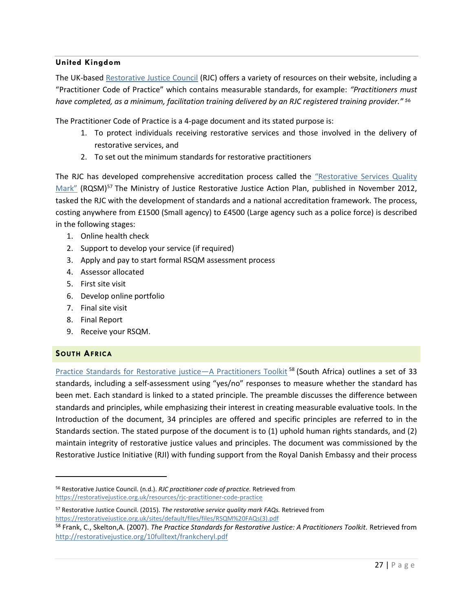## **United Kingdom**

The UK-based [Restorative Justice Council](https://restorativejustice.org.uk/) (RJC) offers a variety of resources on their website, including a "Practitioner Code of Practice" which contains measurable standards, for example: *"Practitioners must have completed, as a minimum, facilitation training delivered by an RJC registered training provider."* <sup>56</sup>

The Practitioner Code of Practice is a 4-page document and its stated purpose is:

- 1. To protect individuals receiving restorative services and those involved in the delivery of restorative services, and
- 2. To set out the minimum standards for restorative practitioners

The RJC has developed comprehensive accreditation process called the ["Restorative Services Quality](https://restorativejustice.org.uk/sites/default/files/files/RSQM%20FAQs(3).pdf)  [Mark"](https://restorativejustice.org.uk/sites/default/files/files/RSQM%20FAQs(3).pdf) (RQSM)<sup>57</sup> The Ministry of Justice Restorative Justice Action Plan, published in November 2012, tasked the RJC with the development of standards and a national accreditation framework. The process, costing anywhere from £1500 (Small agency) to £4500 (Large agency such as a police force) is described in the following stages:

- 1. Online health check
- 2. Support to develop your service (if required)
- 3. Apply and pay to start formal RSQM assessment process
- 4. Assessor allocated
- 5. First site visit
- 6. Develop online portfolio
- 7. Final site visit
- 8. Final Report
- 9. Receive your RSQM.

## <span id="page-27-0"></span>**SOUTH AFRICA**

 $\overline{\phantom{a}}$ 

[Practice Standards for Restorative justice](http://restorativejustice.org/10fulltext/frankcheryl.pdf)-A Practitioners Toolkit<sup>58</sup> (South Africa) outlines a set of 33 standards, including a self-assessment using "yes/no" responses to measure whether the standard has been met. Each standard is linked to a stated principle. The preamble discusses the difference between standards and principles, while emphasizing their interest in creating measurable evaluative tools. In the Introduction of the document, 34 principles are offered and specific principles are referred to in the Standards section. The stated purpose of the document is to (1) uphold human rights standards, and (2) maintain integrity of restorative justice values and principles. The document was commissioned by the Restorative Justice Initiative (RJI) with funding support from the Royal Danish Embassy and their process

<sup>56</sup> Restorative Justice Council. (n.d.). *RJC practitioner code of practice.* Retrieved from <https://restorativejustice.org.uk/resources/rjc-practitioner-code-practice>

<sup>57</sup> Restorative Justice Council. (2015). *The restorative service quality mark FAQs.* Retrieved from [https://restorativejustice.org.uk/sites/default/files/files/RSQM%20FAQs\(3\).pdf](https://restorativejustice.org.uk/sites/default/files/files/RSQM%20FAQs(3).pdf)

<sup>58</sup> Frank, C., Skelton,A. (2007). *The Practice Standards for Restorative Justice: A Practitioners Toolkit.* Retrieved from <http://restorativejustice.org/10fulltext/frankcheryl.pdf>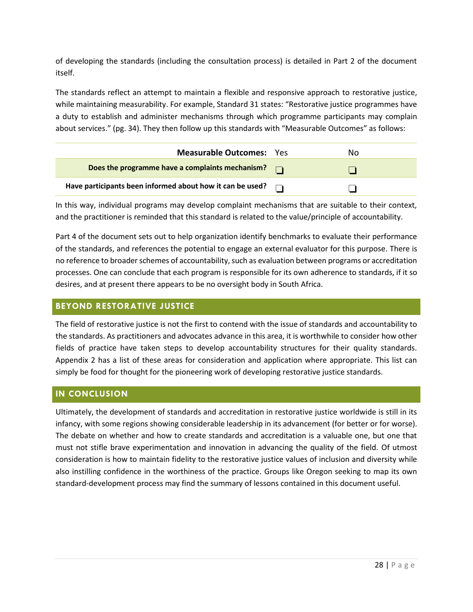of developing the standards (including the consultation process) is detailed in Part 2 of the document itself.

The standards reflect an attempt to maintain a flexible and responsive approach to restorative justice, while maintaining measurability. For example, Standard 31 states: "Restorative justice programmes have a duty to establish and administer mechanisms through which programme participants may complain about services." (pg. 34). They then follow up this standards with "Measurable Outcomes" as follows:

| <b>Measurable Outcomes: Yes</b>                           | N٥ |
|-----------------------------------------------------------|----|
| Does the programme have a complaints mechanism?           |    |
| Have participants been informed about how it can be used? |    |

In this way, individual programs may develop complaint mechanisms that are suitable to their context, and the practitioner is reminded that this standard is related to the value/principle of accountability.

Part 4 of the document sets out to help organization identify benchmarks to evaluate their performance of the standards, and references the potential to engage an external evaluator for this purpose. There is no reference to broader schemes of accountability, such as evaluation between programs or accreditation processes. One can conclude that each program is responsible for its own adherence to standards, if it so desires, and at present there appears to be no oversight body in South Africa.

# <span id="page-28-0"></span>**BEYOND RESTORATIVE JUSTICE**

The field of restorative justice is not the first to contend with the issue of standards and accountability to the standards. As practitioners and advocates advance in this area, it is worthwhile to consider how other fields of practice have taken steps to develop accountability structures for their quality standards. Appendix 2 has a list of these areas for consideration and application where appropriate. This list can simply be food for thought for the pioneering work of developing restorative justice standards.

# <span id="page-28-1"></span>**IN CONCLUSION**

Ultimately, the development of standards and accreditation in restorative justice worldwide is still in its infancy, with some regions showing considerable leadership in its advancement (for better or for worse). The debate on whether and how to create standards and accreditation is a valuable one, but one that must not stifle brave experimentation and innovation in advancing the quality of the field. Of utmost consideration is how to maintain fidelity to the restorative justice values of inclusion and diversity while also instilling confidence in the worthiness of the practice. Groups like Oregon seeking to map its own standard-development process may find the summary of lessons contained in this document useful.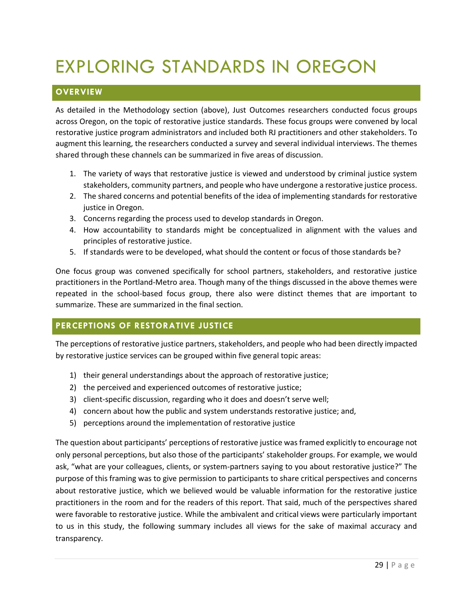# <span id="page-29-0"></span>EXPLORING STANDARDS IN OREGON

# <span id="page-29-1"></span>**OVERVIEW**

As detailed in the Methodology section (above), Just Outcomes researchers conducted focus groups across Oregon, on the topic of restorative justice standards. These focus groups were convened by local restorative justice program administrators and included both RJ practitioners and other stakeholders. To augment this learning, the researchers conducted a survey and several individual interviews. The themes shared through these channels can be summarized in five areas of discussion.

- 1. The variety of ways that restorative justice is viewed and understood by criminal justice system stakeholders, community partners, and people who have undergone a restorative justice process.
- 2. The shared concerns and potential benefits of the idea of implementing standards for restorative justice in Oregon.
- 3. Concerns regarding the process used to develop standards in Oregon.
- 4. How accountability to standards might be conceptualized in alignment with the values and principles of restorative justice.
- 5. If standards were to be developed, what should the content or focus of those standards be?

One focus group was convened specifically for school partners, stakeholders, and restorative justice practitioners in the Portland-Metro area. Though many of the things discussed in the above themes were repeated in the school-based focus group, there also were distinct themes that are important to summarize. These are summarized in the final section.

# <span id="page-29-2"></span>**PERCEPTIONS OF RESTORATIVE JUSTICE**

The perceptions of restorative justice partners, stakeholders, and people who had been directly impacted by restorative justice services can be grouped within five general topic areas:

- 1) their general understandings about the approach of restorative justice;
- 2) the perceived and experienced outcomes of restorative justice;
- 3) client-specific discussion, regarding who it does and doesn't serve well;
- 4) concern about how the public and system understands restorative justice; and,
- 5) perceptions around the implementation of restorative justice

The question about participants' perceptions of restorative justice was framed explicitly to encourage not only personal perceptions, but also those of the participants' stakeholder groups. For example, we would ask, "what are your colleagues, clients, or system-partners saying to you about restorative justice?" The purpose of this framing was to give permission to participants to share critical perspectives and concerns about restorative justice, which we believed would be valuable information for the restorative justice practitioners in the room and for the readers of this report. That said, much of the perspectives shared were favorable to restorative justice. While the ambivalent and critical views were particularly important to us in this study, the following summary includes all views for the sake of maximal accuracy and transparency.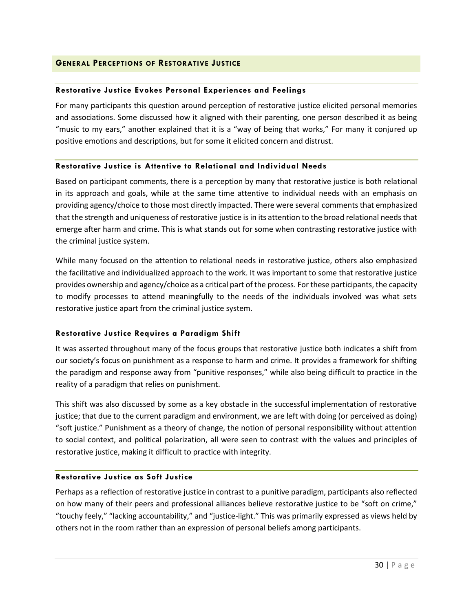## <span id="page-30-0"></span>**GENERAL PERCEPTIONS OF RESTORATIVE JUSTICE**

## **Restorative Justice Evokes Personal Experiences and Feelings**

For many participants this question around perception of restorative justice elicited personal memories and associations. Some discussed how it aligned with their parenting, one person described it as being "music to my ears," another explained that it is a "way of being that works," For many it conjured up positive emotions and descriptions, but for some it elicited concern and distrust.

#### **Restorative Justice is Attentive to Relational and Individual Needs**

Based on participant comments, there is a perception by many that restorative justice is both relational in its approach and goals, while at the same time attentive to individual needs with an emphasis on providing agency/choice to those most directly impacted. There were several comments that emphasized that the strength and uniqueness of restorative justice is in its attention to the broad relational needs that emerge after harm and crime. This is what stands out for some when contrasting restorative justice with the criminal justice system.

While many focused on the attention to relational needs in restorative justice, others also emphasized the facilitative and individualized approach to the work. It was important to some that restorative justice provides ownership and agency/choice as a critical part of the process. For these participants, the capacity to modify processes to attend meaningfully to the needs of the individuals involved was what sets restorative justice apart from the criminal justice system.

## **Restorative Justice Requires a Paradigm Shift**

It was asserted throughout many of the focus groups that restorative justice both indicates a shift from our society's focus on punishment as a response to harm and crime. It provides a framework for shifting the paradigm and response away from "punitive responses," while also being difficult to practice in the reality of a paradigm that relies on punishment.

This shift was also discussed by some as a key obstacle in the successful implementation of restorative justice; that due to the current paradigm and environment, we are left with doing (or perceived as doing) "soft justice." Punishment as a theory of change, the notion of personal responsibility without attention to social context, and political polarization, all were seen to contrast with the values and principles of restorative justice, making it difficult to practice with integrity.

## **Restorative Justice as Soft Justice**

Perhaps as a reflection of restorative justice in contrast to a punitive paradigm, participants also reflected on how many of their peers and professional alliances believe restorative justice to be "soft on crime," "touchy feely," "lacking accountability," and "justice-light." This was primarily expressed as views held by others not in the room rather than an expression of personal beliefs among participants.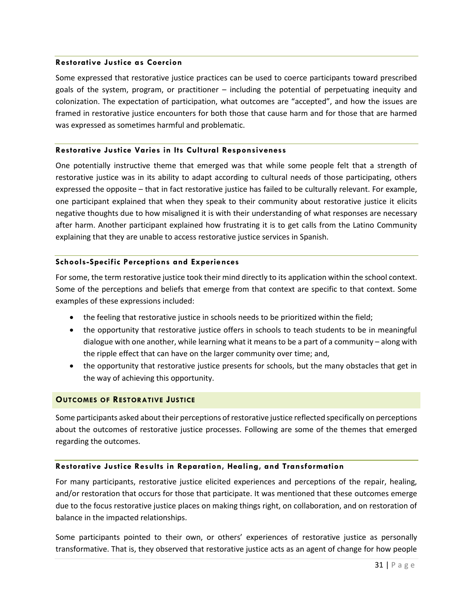#### **Restorative Justice as Coercion**

Some expressed that restorative justice practices can be used to coerce participants toward prescribed goals of the system, program, or practitioner – including the potential of perpetuating inequity and colonization. The expectation of participation, what outcomes are "accepted", and how the issues are framed in restorative justice encounters for both those that cause harm and for those that are harmed was expressed as sometimes harmful and problematic.

#### **Restorative Justice Varies in Its Cultural Responsiveness**

One potentially instructive theme that emerged was that while some people felt that a strength of restorative justice was in its ability to adapt according to cultural needs of those participating, others expressed the opposite – that in fact restorative justice has failed to be culturally relevant. For example, one participant explained that when they speak to their community about restorative justice it elicits negative thoughts due to how misaligned it is with their understanding of what responses are necessary after harm. Another participant explained how frustrating it is to get calls from the Latino Community explaining that they are unable to access restorative justice services in Spanish.

#### **Schools-Specific Perceptions and Experiences**

For some, the term restorative justice took their mind directly to its application within the school context. Some of the perceptions and beliefs that emerge from that context are specific to that context. Some examples of these expressions included:

- the feeling that restorative justice in schools needs to be prioritized within the field;
- the opportunity that restorative justice offers in schools to teach students to be in meaningful dialogue with one another, while learning what it means to be a part of a community – along with the ripple effect that can have on the larger community over time; and,
- the opportunity that restorative justice presents for schools, but the many obstacles that get in the way of achieving this opportunity.

## <span id="page-31-0"></span>**OUTCOMES OF RESTORATIVE JUSTICE**

Some participants asked about their perceptions of restorative justice reflected specifically on perceptions about the outcomes of restorative justice processes. Following are some of the themes that emerged regarding the outcomes.

## **Restorative Justice Results in Reparation, Healing, and Transformation**

For many participants, restorative justice elicited experiences and perceptions of the repair, healing, and/or restoration that occurs for those that participate. It was mentioned that these outcomes emerge due to the focus restorative justice places on making things right, on collaboration, and on restoration of balance in the impacted relationships.

Some participants pointed to their own, or others' experiences of restorative justice as personally transformative. That is, they observed that restorative justice acts as an agent of change for how people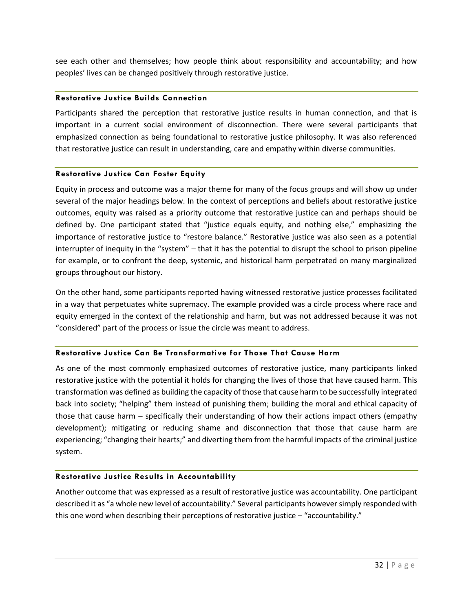see each other and themselves; how people think about responsibility and accountability; and how peoples' lives can be changed positively through restorative justice.

## **Restorative Justice Builds Connection**

Participants shared the perception that restorative justice results in human connection, and that is important in a current social environment of disconnection. There were several participants that emphasized connection as being foundational to restorative justice philosophy. It was also referenced that restorative justice can result in understanding, care and empathy within diverse communities.

## **Restorative Justice Can Foster Equity**

Equity in process and outcome was a major theme for many of the focus groups and will show up under several of the major headings below. In the context of perceptions and beliefs about restorative justice outcomes, equity was raised as a priority outcome that restorative justice can and perhaps should be defined by. One participant stated that "justice equals equity, and nothing else," emphasizing the importance of restorative justice to "restore balance." Restorative justice was also seen as a potential interrupter of inequity in the "system" – that it has the potential to disrupt the school to prison pipeline for example, or to confront the deep, systemic, and historical harm perpetrated on many marginalized groups throughout our history.

On the other hand, some participants reported having witnessed restorative justice processes facilitated in a way that perpetuates white supremacy. The example provided was a circle process where race and equity emerged in the context of the relationship and harm, but was not addressed because it was not "considered" part of the process or issue the circle was meant to address.

## **Restorative Justice Can Be Transformative for Those That Cause Harm**

As one of the most commonly emphasized outcomes of restorative justice, many participants linked restorative justice with the potential it holds for changing the lives of those that have caused harm. This transformation was defined as building the capacity of those that cause harm to be successfully integrated back into society; "helping" them instead of punishing them; building the moral and ethical capacity of those that cause harm – specifically their understanding of how their actions impact others (empathy development); mitigating or reducing shame and disconnection that those that cause harm are experiencing; "changing their hearts;" and diverting them from the harmful impacts of the criminal justice system.

# **Restorative Justice Results in Accountability**

Another outcome that was expressed as a result of restorative justice was accountability. One participant described it as "a whole new level of accountability." Several participants however simply responded with this one word when describing their perceptions of restorative justice – "accountability."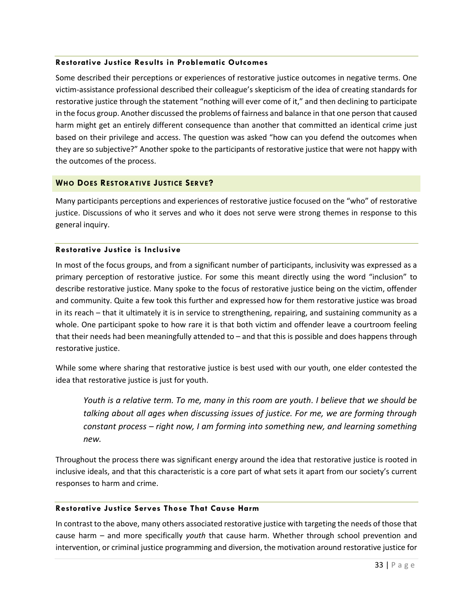## **Restorative Justice Results in Problematic Outcomes**

Some described their perceptions or experiences of restorative justice outcomes in negative terms. One victim-assistance professional described their colleague's skepticism of the idea of creating standards for restorative justice through the statement "nothing will ever come of it," and then declining to participate in the focus group. Another discussed the problems of fairness and balance in that one person that caused harm might get an entirely different consequence than another that committed an identical crime just based on their privilege and access. The question was asked "how can you defend the outcomes when they are so subjective?" Another spoke to the participants of restorative justice that were not happy with the outcomes of the process.

## <span id="page-33-0"></span>**WHO DOES RESTORATIVE JUSTICE SERVE?**

Many participants perceptions and experiences of restorative justice focused on the "who" of restorative justice. Discussions of who it serves and who it does not serve were strong themes in response to this general inquiry.

## **Restorative Justice is Inclusive**

In most of the focus groups, and from a significant number of participants, inclusivity was expressed as a primary perception of restorative justice. For some this meant directly using the word "inclusion" to describe restorative justice. Many spoke to the focus of restorative justice being on the victim, offender and community. Quite a few took this further and expressed how for them restorative justice was broad in its reach – that it ultimately it is in service to strengthening, repairing, and sustaining community as a whole. One participant spoke to how rare it is that both victim and offender leave a courtroom feeling that their needs had been meaningfully attended to – and that this is possible and does happens through restorative justice.

While some where sharing that restorative justice is best used with our youth, one elder contested the idea that restorative justice is just for youth.

*Youth is a relative term. To me, many in this room are youth. I believe that we should be talking about all ages when discussing issues of justice. For me, we are forming through constant process – right now, I am forming into something new, and learning something new.*

Throughout the process there was significant energy around the idea that restorative justice is rooted in inclusive ideals, and that this characteristic is a core part of what sets it apart from our society's current responses to harm and crime.

## **Restorative Justice Serves Those That Cause Harm**

In contrast to the above, many others associated restorative justice with targeting the needs of those that cause harm – and more specifically *youth* that cause harm. Whether through school prevention and intervention, or criminal justice programming and diversion, the motivation around restorative justice for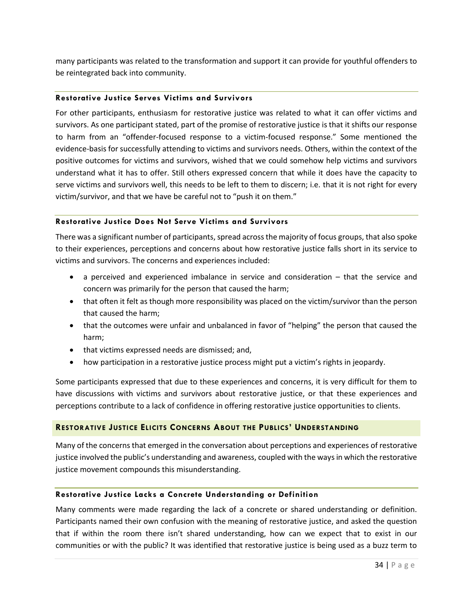many participants was related to the transformation and support it can provide for youthful offenders to be reintegrated back into community.

## **Restorative Justice Serves Victims and Survivors**

For other participants, enthusiasm for restorative justice was related to what it can offer victims and survivors. As one participant stated, part of the promise of restorative justice is that it shifts our response to harm from an "offender-focused response to a victim-focused response." Some mentioned the evidence-basis for successfully attending to victims and survivors needs. Others, within the context of the positive outcomes for victims and survivors, wished that we could somehow help victims and survivors understand what it has to offer. Still others expressed concern that while it does have the capacity to serve victims and survivors well, this needs to be left to them to discern; i.e. that it is not right for every victim/survivor, and that we have be careful not to "push it on them."

## **Restorative Justice Does Not Serve Victims and Survivors**

There was a significant number of participants, spread across the majority of focus groups, that also spoke to their experiences, perceptions and concerns about how restorative justice falls short in its service to victims and survivors. The concerns and experiences included:

- a perceived and experienced imbalance in service and consideration that the service and concern was primarily for the person that caused the harm;
- that often it felt as though more responsibility was placed on the victim/survivor than the person that caused the harm;
- that the outcomes were unfair and unbalanced in favor of "helping" the person that caused the harm;
- that victims expressed needs are dismissed; and,
- how participation in a restorative justice process might put a victim's rights in jeopardy.

Some participants expressed that due to these experiences and concerns, it is very difficult for them to have discussions with victims and survivors about restorative justice, or that these experiences and perceptions contribute to a lack of confidence in offering restorative justice opportunities to clients.

## <span id="page-34-0"></span>**RESTORATIVE JUSTICE ELICITS CONCERNS ABOUT THE PUBLICS' UNDERSTANDING**

Many of the concerns that emerged in the conversation about perceptions and experiences of restorative justice involved the public's understanding and awareness, coupled with the ways in which the restorative justice movement compounds this misunderstanding.

#### **Restorative Justice Lacks a Concrete Understanding or Definition**

Many comments were made regarding the lack of a concrete or shared understanding or definition. Participants named their own confusion with the meaning of restorative justice, and asked the question that if within the room there isn't shared understanding, how can we expect that to exist in our communities or with the public? It was identified that restorative justice is being used as a buzz term to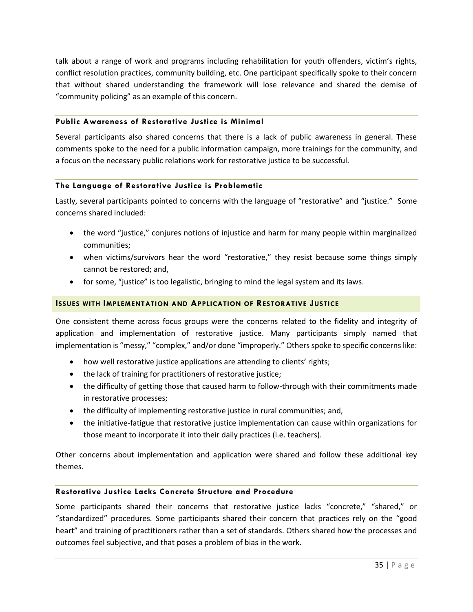talk about a range of work and programs including rehabilitation for youth offenders, victim's rights, conflict resolution practices, community building, etc. One participant specifically spoke to their concern that without shared understanding the framework will lose relevance and shared the demise of "community policing" as an example of this concern.

## **Public Awareness of Restorative Justice is Minimal**

Several participants also shared concerns that there is a lack of public awareness in general. These comments spoke to the need for a public information campaign, more trainings for the community, and a focus on the necessary public relations work for restorative justice to be successful.

## **The Language of Restorative Justice is Problematic**

Lastly, several participants pointed to concerns with the language of "restorative" and "justice." Some concerns shared included:

- the word "justice," conjures notions of injustice and harm for many people within marginalized communities;
- when victims/survivors hear the word "restorative," they resist because some things simply cannot be restored; and,
- for some, "justice" is too legalistic, bringing to mind the legal system and its laws.

# <span id="page-35-0"></span>**ISSUES WITH IMPLEMENTATION AND APPLICATION OF RESTORATIVE JUSTICE**

One consistent theme across focus groups were the concerns related to the fidelity and integrity of application and implementation of restorative justice. Many participants simply named that implementation is "messy," "complex," and/or done "improperly." Others spoke to specific concerns like:

- how well restorative justice applications are attending to clients' rights;
- the lack of training for practitioners of restorative justice;
- the difficulty of getting those that caused harm to follow-through with their commitments made in restorative processes;
- the difficulty of implementing restorative justice in rural communities; and,
- the initiative-fatigue that restorative justice implementation can cause within organizations for those meant to incorporate it into their daily practices (i.e. teachers).

Other concerns about implementation and application were shared and follow these additional key themes.

## **Restorative Justice Lacks Concrete Structure and Procedure**

Some participants shared their concerns that restorative justice lacks "concrete," "shared," or "standardized" procedures. Some participants shared their concern that practices rely on the "good heart" and training of practitioners rather than a set of standards. Others shared how the processes and outcomes feel subjective, and that poses a problem of bias in the work.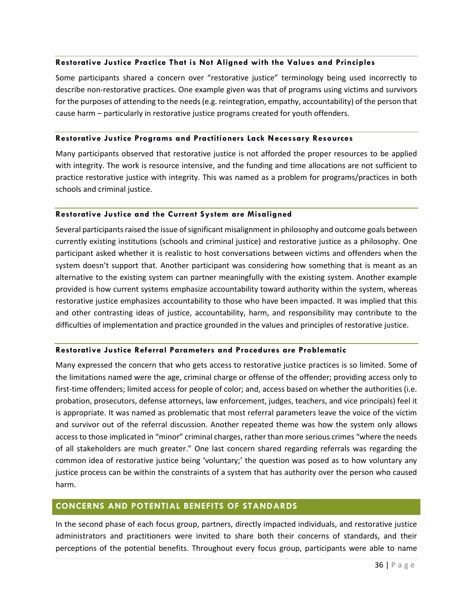#### **Restorative Justice Practice That is Not Aligned with the Values and Principles**

Some participants shared a concern over "restorative justice" terminology being used incorrectly to describe non-restorative practices. One example given was that of programs using victims and survivors for the purposes of attending to the needs (e.g. reintegration, empathy, accountability) of the person that cause harm – particularly in restorative justice programs created for youth offenders.

#### **Restorative Justice Programs and Practitioners Lack Necessary Resources**

Many participants observed that restorative justice is not afforded the proper resources to be applied with integrity. The work is resource intensive, and the funding and time allocations are not sufficient to practice restorative justice with integrity. This was named as a problem for programs/practices in both schools and criminal justice.

#### **Restorative Justice and the Current System are Misaligned**

Several participants raised the issue of significant misalignment in philosophy and outcome goals between currently existing institutions (schools and criminal justice) and restorative justice as a philosophy. One participant asked whether it is realistic to host conversations between victims and offenders when the system doesn't support that. Another participant was considering how something that is meant as an alternative to the existing system can partner meaningfully with the existing system. Another example provided is how current systems emphasize accountability toward authority within the system, whereas restorative justice emphasizes accountability to those who have been impacted. It was implied that this and other contrasting ideas of justice, accountability, harm, and responsibility may contribute to the difficulties of implementation and practice grounded in the values and principles of restorative justice.

## **Restorative Justice Referral Parameters and Procedures are Problematic**

Many expressed the concern that who gets access to restorative justice practices is so limited. Some of the limitations named were the age, criminal charge or offense of the offender; providing access only to first-time offenders; limited access for people of color; and, access based on whether the authorities (i.e. probation, prosecutors, defense attorneys, law enforcement, judges, teachers, and vice principals) feel it is appropriate. It was named as problematic that most referral parameters leave the voice of the victim and survivor out of the referral discussion. Another repeated theme was how the system only allows access to those implicated in "minor" criminal charges, rather than more serious crimes "where the needs of all stakeholders are much greater." One last concern shared regarding referrals was regarding the common idea of restorative justice being 'voluntary;' the question was posed as to how voluntary any justice process can be within the constraints of a system that has authority over the person who caused harm.

# <span id="page-36-0"></span>**CONCERNS AND POTENTIAL BENEFITS OF STANDARDS**

In the second phase of each focus group, partners, directly impacted individuals, and restorative justice administrators and practitioners were invited to share both their concerns of standards, and their perceptions of the potential benefits. Throughout every focus group, participants were able to name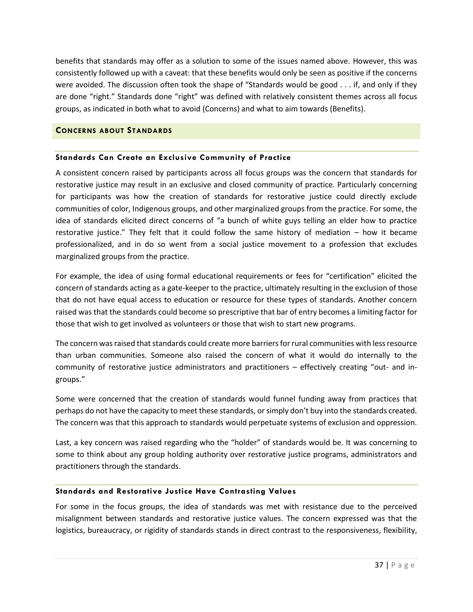benefits that standards may offer as a solution to some of the issues named above. However, this was consistently followed up with a caveat: that these benefits would only be seen as positive if the concerns were avoided. The discussion often took the shape of "Standards would be good . . . if, and only if they are done "right." Standards done "right" was defined with relatively consistent themes across all focus groups, as indicated in both what to avoid (Concerns) and what to aim towards (Benefits).

## <span id="page-37-0"></span>**CONCERNS ABOUT STANDARDS**

## **Standards Can Create an Exclusive Community of Practice**

A consistent concern raised by participants across all focus groups was the concern that standards for restorative justice may result in an exclusive and closed community of practice. Particularly concerning for participants was how the creation of standards for restorative justice could directly exclude communities of color, Indigenous groups, and other marginalized groups from the practice. For some, the idea of standards elicited direct concerns of "a bunch of white guys telling an elder how to practice restorative justice." They felt that it could follow the same history of mediation – how it became professionalized, and in do so went from a social justice movement to a profession that excludes marginalized groups from the practice.

For example, the idea of using formal educational requirements or fees for "certification" elicited the concern of standards acting as a gate-keeper to the practice, ultimately resulting in the exclusion of those that do not have equal access to education or resource for these types of standards. Another concern raised was that the standards could become so prescriptive that bar of entry becomes a limiting factor for those that wish to get involved as volunteers or those that wish to start new programs.

The concern was raised that standards could create more barriers for rural communities with less resource than urban communities. Someone also raised the concern of what it would do internally to the community of restorative justice administrators and practitioners – effectively creating "out- and ingroups."

Some were concerned that the creation of standards would funnel funding away from practices that perhaps do not have the capacity to meet these standards, or simply don't buy into the standards created. The concern was that this approach to standards would perpetuate systems of exclusion and oppression.

Last, a key concern was raised regarding who the "holder" of standards would be. It was concerning to some to think about any group holding authority over restorative justice programs, administrators and practitioners through the standards.

## **Standards and Restorative Justice Have Contrasting Values**

For some in the focus groups, the idea of standards was met with resistance due to the perceived misalignment between standards and restorative justice values. The concern expressed was that the logistics, bureaucracy, or rigidity of standards stands in direct contrast to the responsiveness, flexibility,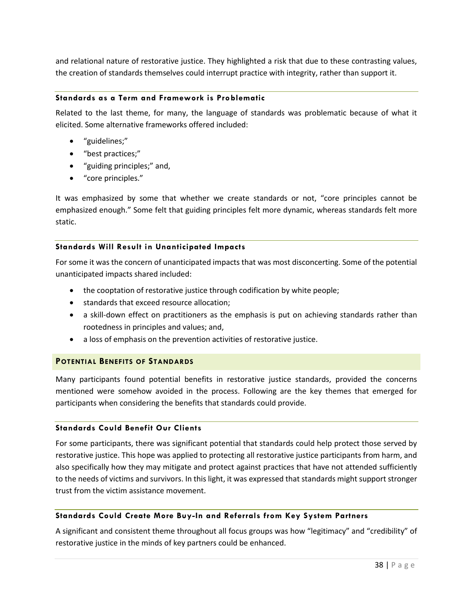and relational nature of restorative justice. They highlighted a risk that due to these contrasting values, the creation of standards themselves could interrupt practice with integrity, rather than support it.

## **Standards as a Term and Framework is Problematic**

Related to the last theme, for many, the language of standards was problematic because of what it elicited. Some alternative frameworks offered included:

- "guidelines;"
- "best practices;"
- "guiding principles;" and,
- "core principles."

It was emphasized by some that whether we create standards or not, "core principles cannot be emphasized enough." Some felt that guiding principles felt more dynamic, whereas standards felt more static.

## **Standards Will Result in Unanticipated Impacts**

For some it was the concern of unanticipated impacts that was most disconcerting. Some of the potential unanticipated impacts shared included:

- the cooptation of restorative justice through codification by white people;
- standards that exceed resource allocation;
- a skill-down effect on practitioners as the emphasis is put on achieving standards rather than rootedness in principles and values; and,
- a loss of emphasis on the prevention activities of restorative justice.

## <span id="page-38-0"></span>**POTENTIAL BENEFITS OF STANDARDS**

Many participants found potential benefits in restorative justice standards, provided the concerns mentioned were somehow avoided in the process. Following are the key themes that emerged for participants when considering the benefits that standards could provide.

#### **Standards Could Benefit Our Clients**

For some participants, there was significant potential that standards could help protect those served by restorative justice. This hope was applied to protecting all restorative justice participants from harm, and also specifically how they may mitigate and protect against practices that have not attended sufficiently to the needs of victims and survivors. In this light, it was expressed that standards might support stronger trust from the victim assistance movement.

## **Standards Could Create More Buy-In and Referrals from Key System Partners**

A significant and consistent theme throughout all focus groups was how "legitimacy" and "credibility" of restorative justice in the minds of key partners could be enhanced.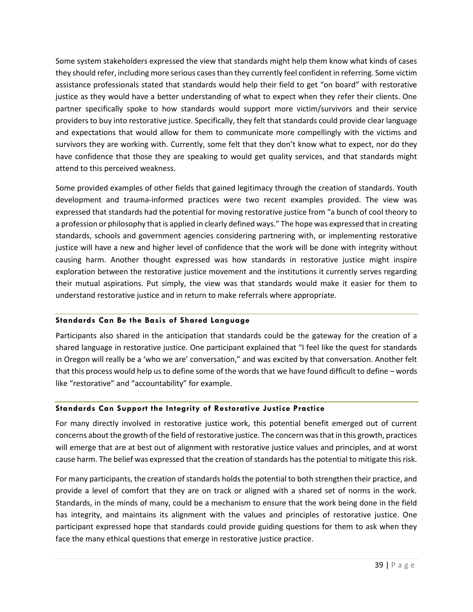Some system stakeholders expressed the view that standards might help them know what kinds of cases they should refer, including more serious cases than they currently feel confident in referring. Some victim assistance professionals stated that standards would help their field to get "on board" with restorative justice as they would have a better understanding of what to expect when they refer their clients. One partner specifically spoke to how standards would support more victim/survivors and their service providers to buy into restorative justice. Specifically, they felt that standards could provide clear language and expectations that would allow for them to communicate more compellingly with the victims and survivors they are working with. Currently, some felt that they don't know what to expect, nor do they have confidence that those they are speaking to would get quality services, and that standards might attend to this perceived weakness.

Some provided examples of other fields that gained legitimacy through the creation of standards. Youth development and trauma-informed practices were two recent examples provided. The view was expressed that standards had the potential for moving restorative justice from "a bunch of cool theory to a profession or philosophy that is applied in clearly defined ways." The hope was expressed that in creating standards, schools and government agencies considering partnering with, or implementing restorative justice will have a new and higher level of confidence that the work will be done with integrity without causing harm. Another thought expressed was how standards in restorative justice might inspire exploration between the restorative justice movement and the institutions it currently serves regarding their mutual aspirations. Put simply, the view was that standards would make it easier for them to understand restorative justice and in return to make referrals where appropriate.

# **Standards Can Be the Basis of Shared Language**

Participants also shared in the anticipation that standards could be the gateway for the creation of a shared language in restorative justice. One participant explained that "I feel like the quest for standards in Oregon will really be a 'who we are' conversation," and was excited by that conversation. Another felt that this process would help us to define some of the words that we have found difficult to define – words like "restorative" and "accountability" for example.

# **Standards Can Support the Integrity of Restorative Justice Practice**

For many directly involved in restorative justice work, this potential benefit emerged out of current concerns about the growth of the field of restorative justice. The concern was that in this growth, practices will emerge that are at best out of alignment with restorative justice values and principles, and at worst cause harm. The belief was expressed that the creation of standards has the potential to mitigate this risk.

For many participants, the creation of standards holds the potential to both strengthen their practice, and provide a level of comfort that they are on track or aligned with a shared set of norms in the work. Standards, in the minds of many, could be a mechanism to ensure that the work being done in the field has integrity, and maintains its alignment with the values and principles of restorative justice. One participant expressed hope that standards could provide guiding questions for them to ask when they face the many ethical questions that emerge in restorative justice practice.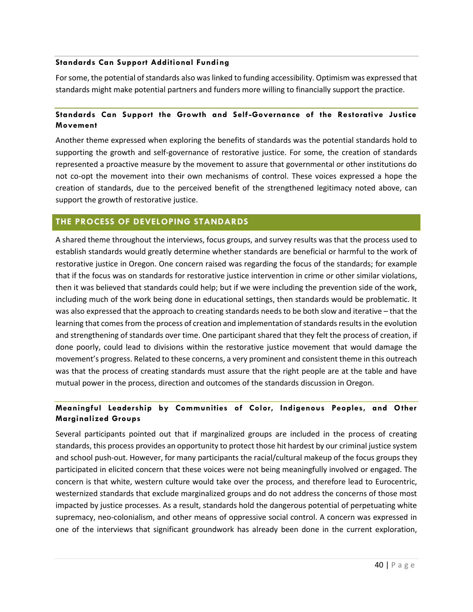## **Standards Can Support Additional Funding**

For some, the potential of standards also was linked to funding accessibility. Optimism was expressed that standards might make potential partners and funders more willing to financially support the practice.

# **Standards Can Support the Growth and Self-Governance of the Restorative Justice Movement**

Another theme expressed when exploring the benefits of standards was the potential standards hold to supporting the growth and self-governance of restorative justice. For some, the creation of standards represented a proactive measure by the movement to assure that governmental or other institutions do not co-opt the movement into their own mechanisms of control. These voices expressed a hope the creation of standards, due to the perceived benefit of the strengthened legitimacy noted above, can support the growth of restorative justice.

# <span id="page-40-0"></span>**THE PROCESS OF DEVELOPING STANDARDS**

A shared theme throughout the interviews, focus groups, and survey results was that the process used to establish standards would greatly determine whether standards are beneficial or harmful to the work of restorative justice in Oregon. One concern raised was regarding the focus of the standards; for example that if the focus was on standards for restorative justice intervention in crime or other similar violations, then it was believed that standards could help; but if we were including the prevention side of the work, including much of the work being done in educational settings, then standards would be problematic. It was also expressed that the approach to creating standards needs to be both slow and iterative – that the learning that comes from the process of creation and implementation of standards results in the evolution and strengthening of standards over time. One participant shared that they felt the process of creation, if done poorly, could lead to divisions within the restorative justice movement that would damage the movement's progress. Related to these concerns, a very prominent and consistent theme in this outreach was that the process of creating standards must assure that the right people are at the table and have mutual power in the process, direction and outcomes of the standards discussion in Oregon.

# **Meaningful Leadership by Communities of Color, Indigenous Peoples, and Other Marginalized Groups**

Several participants pointed out that if marginalized groups are included in the process of creating standards, this process provides an opportunity to protect those hit hardest by our criminal justice system and school push-out. However, for many participants the racial/cultural makeup of the focus groups they participated in elicited concern that these voices were not being meaningfully involved or engaged. The concern is that white, western culture would take over the process, and therefore lead to Eurocentric, westernized standards that exclude marginalized groups and do not address the concerns of those most impacted by justice processes. As a result, standards hold the dangerous potential of perpetuating white supremacy, neo-colonialism, and other means of oppressive social control. A concern was expressed in one of the interviews that significant groundwork has already been done in the current exploration,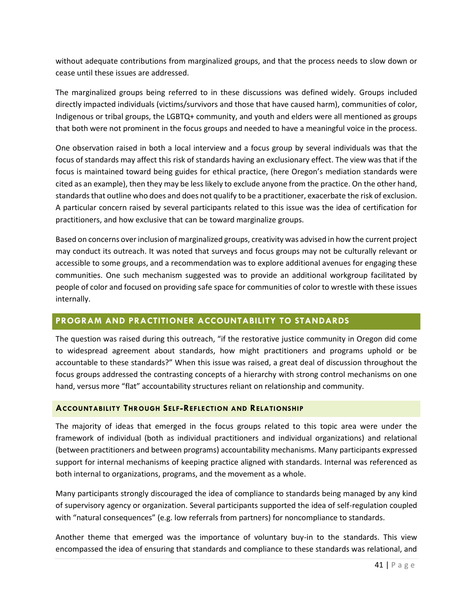without adequate contributions from marginalized groups, and that the process needs to slow down or cease until these issues are addressed.

The marginalized groups being referred to in these discussions was defined widely. Groups included directly impacted individuals (victims/survivors and those that have caused harm), communities of color, Indigenous or tribal groups, the LGBTQ+ community, and youth and elders were all mentioned as groups that both were not prominent in the focus groups and needed to have a meaningful voice in the process.

One observation raised in both a local interview and a focus group by several individuals was that the focus of standards may affect this risk of standards having an exclusionary effect. The view was that if the focus is maintained toward being guides for ethical practice, (here Oregon's mediation standards were cited as an example), then they may be less likely to exclude anyone from the practice. On the other hand, standards that outline who does and does not qualify to be a practitioner, exacerbate the risk of exclusion. A particular concern raised by several participants related to this issue was the idea of certification for practitioners, and how exclusive that can be toward marginalize groups.

Based on concerns over inclusion of marginalized groups, creativity was advised in how the current project may conduct its outreach. It was noted that surveys and focus groups may not be culturally relevant or accessible to some groups, and a recommendation was to explore additional avenues for engaging these communities. One such mechanism suggested was to provide an additional workgroup facilitated by people of color and focused on providing safe space for communities of color to wrestle with these issues internally.

# <span id="page-41-0"></span>**PROGRAM AND PRACTITIONER ACCOUNTABILITY TO STANDARDS**

The question was raised during this outreach, "if the restorative justice community in Oregon did come to widespread agreement about standards, how might practitioners and programs uphold or be accountable to these standards?" When this issue was raised, a great deal of discussion throughout the focus groups addressed the contrasting concepts of a hierarchy with strong control mechanisms on one hand, versus more "flat" accountability structures reliant on relationship and community.

# <span id="page-41-1"></span>**ACCOUNTABILITY THROUGH SELF-REFLECTION AND RELATIONSHIP**

The majority of ideas that emerged in the focus groups related to this topic area were under the framework of individual (both as individual practitioners and individual organizations) and relational (between practitioners and between programs) accountability mechanisms. Many participants expressed support for internal mechanisms of keeping practice aligned with standards. Internal was referenced as both internal to organizations, programs, and the movement as a whole.

Many participants strongly discouraged the idea of compliance to standards being managed by any kind of supervisory agency or organization. Several participants supported the idea of self-regulation coupled with "natural consequences" (e.g. low referrals from partners) for noncompliance to standards.

Another theme that emerged was the importance of voluntary buy-in to the standards. This view encompassed the idea of ensuring that standards and compliance to these standards was relational, and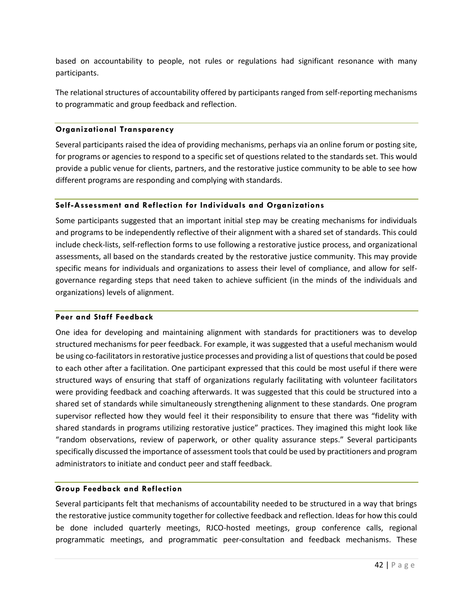based on accountability to people, not rules or regulations had significant resonance with many participants.

The relational structures of accountability offered by participants ranged from self-reporting mechanisms to programmatic and group feedback and reflection.

## **Organizational Transparency**

Several participants raised the idea of providing mechanisms, perhaps via an online forum or posting site, for programs or agencies to respond to a specific set of questions related to the standards set. This would provide a public venue for clients, partners, and the restorative justice community to be able to see how different programs are responding and complying with standards.

## **Self-Assessment and Reflection for Individuals and Organizations**

Some participants suggested that an important initial step may be creating mechanisms for individuals and programs to be independently reflective of their alignment with a shared set of standards. This could include check-lists, self-reflection forms to use following a restorative justice process, and organizational assessments, all based on the standards created by the restorative justice community. This may provide specific means for individuals and organizations to assess their level of compliance, and allow for selfgovernance regarding steps that need taken to achieve sufficient (in the minds of the individuals and organizations) levels of alignment.

## **Peer and Staff Feedback**

One idea for developing and maintaining alignment with standards for practitioners was to develop structured mechanisms for peer feedback. For example, it was suggested that a useful mechanism would be using co-facilitators in restorative justice processes and providing a list of questions that could be posed to each other after a facilitation. One participant expressed that this could be most useful if there were structured ways of ensuring that staff of organizations regularly facilitating with volunteer facilitators were providing feedback and coaching afterwards. It was suggested that this could be structured into a shared set of standards while simultaneously strengthening alignment to these standards. One program supervisor reflected how they would feel it their responsibility to ensure that there was "fidelity with shared standards in programs utilizing restorative justice" practices. They imagined this might look like "random observations, review of paperwork, or other quality assurance steps." Several participants specifically discussed the importance of assessment tools that could be used by practitioners and program administrators to initiate and conduct peer and staff feedback.

## **Group Feedback and Reflection**

Several participants felt that mechanisms of accountability needed to be structured in a way that brings the restorative justice community together for collective feedback and reflection. Ideas for how this could be done included quarterly meetings, RJCO-hosted meetings, group conference calls, regional programmatic meetings, and programmatic peer-consultation and feedback mechanisms. These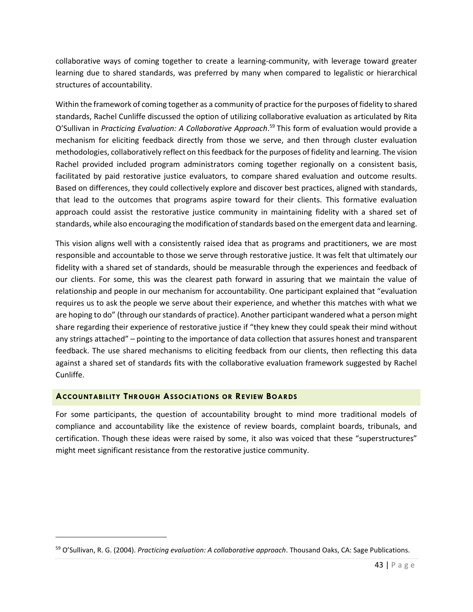collaborative ways of coming together to create a learning-community, with leverage toward greater learning due to shared standards, was preferred by many when compared to legalistic or hierarchical structures of accountability.

Within the framework of coming together as a community of practice for the purposes of fidelity to shared standards, Rachel Cunliffe discussed the option of utilizing collaborative evaluation as articulated by Rita O'Sullivan in Practicing Evaluation: A Collaborative Approach.<sup>59</sup> This form of evaluation would provide a mechanism for eliciting feedback directly from those we serve, and then through cluster evaluation methodologies, collaboratively reflect on this feedback for the purposes of fidelity and learning. The vision Rachel provided included program administrators coming together regionally on a consistent basis, facilitated by paid restorative justice evaluators, to compare shared evaluation and outcome results. Based on differences, they could collectively explore and discover best practices, aligned with standards, that lead to the outcomes that programs aspire toward for their clients. This formative evaluation approach could assist the restorative justice community in maintaining fidelity with a shared set of standards, while also encouraging the modification of standards based on the emergent data and learning.

This vision aligns well with a consistently raised idea that as programs and practitioners, we are most responsible and accountable to those we serve through restorative justice. It was felt that ultimately our fidelity with a shared set of standards, should be measurable through the experiences and feedback of our clients. For some, this was the clearest path forward in assuring that we maintain the value of relationship and people in our mechanism for accountability. One participant explained that "evaluation requires us to ask the people we serve about their experience, and whether this matches with what we are hoping to do" (through our standards of practice). Another participant wandered what a person might share regarding their experience of restorative justice if "they knew they could speak their mind without any strings attached" – pointing to the importance of data collection that assures honest and transparent feedback. The use shared mechanisms to eliciting feedback from our clients, then reflecting this data against a shared set of standards fits with the collaborative evaluation framework suggested by Rachel Cunliffe.

# <span id="page-43-0"></span>**ACCOUNTABILITY THROUGH ASSOCIATIONS OR REVIEW BOARDS**

 $\overline{\phantom{a}}$ 

<span id="page-43-1"></span>For some participants, the question of accountability brought to mind more traditional models of compliance and accountability like the existence of review boards, complaint boards, tribunals, and certification. Though these ideas were raised by some, it also was voiced that these "superstructures" might meet significant resistance from the restorative justice community.

<sup>59</sup> O'Sullivan, R. G. (2004). *Practicing evaluation: A collaborative approach*. Thousand Oaks, CA: Sage Publications.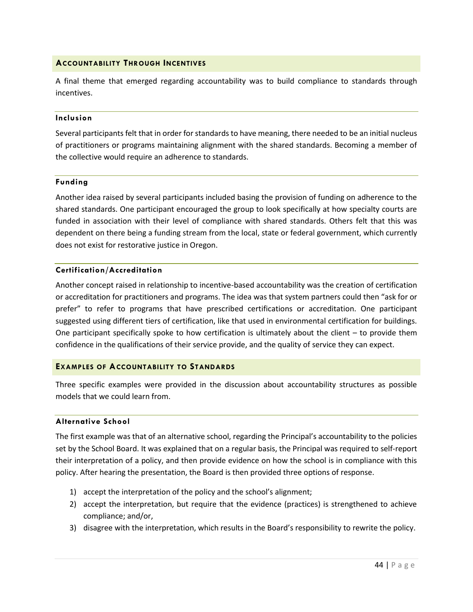## **ACCOUNTABILITY THROUGH INCENTIVES**

A final theme that emerged regarding accountability was to build compliance to standards through incentives.

#### **Inclusion**

Several participants felt that in order for standards to have meaning, there needed to be an initial nucleus of practitioners or programs maintaining alignment with the shared standards. Becoming a member of the collective would require an adherence to standards.

#### **Funding**

Another idea raised by several participants included basing the provision of funding on adherence to the shared standards. One participant encouraged the group to look specifically at how specialty courts are funded in association with their level of compliance with shared standards. Others felt that this was dependent on there being a funding stream from the local, state or federal government, which currently does not exist for restorative justice in Oregon.

## **Certification/Accreditation**

Another concept raised in relationship to incentive-based accountability was the creation of certification or accreditation for practitioners and programs. The idea was that system partners could then "ask for or prefer" to refer to programs that have prescribed certifications or accreditation. One participant suggested using different tiers of certification, like that used in environmental certification for buildings. One participant specifically spoke to how certification is ultimately about the client – to provide them confidence in the qualifications of their service provide, and the quality of service they can expect.

## <span id="page-44-0"></span>**EXAMPLES OF ACCOUNTABILITY TO STANDARDS**

Three specific examples were provided in the discussion about accountability structures as possible models that we could learn from.

#### **Alternative School**

The first example was that of an alternative school, regarding the Principal's accountability to the policies set by the School Board. It was explained that on a regular basis, the Principal was required to self-report their interpretation of a policy, and then provide evidence on how the school is in compliance with this policy. After hearing the presentation, the Board is then provided three options of response.

- 1) accept the interpretation of the policy and the school's alignment;
- 2) accept the interpretation, but require that the evidence (practices) is strengthened to achieve compliance; and/or,
- 3) disagree with the interpretation, which results in the Board's responsibility to rewrite the policy.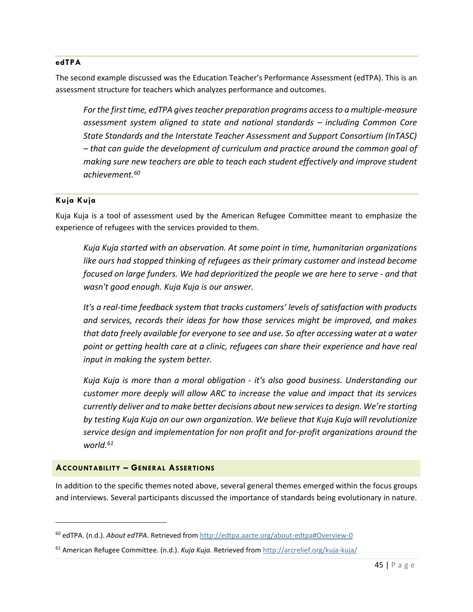#### **edTPA**

The second example discussed was the Education Teacher's Performance Assessment (edTPA). This is an assessment structure for teachers which analyzes performance and outcomes.

*For the first time, edTPA gives teacher preparation programs access to a multiple-measure assessment system aligned to state and national standards – including Common Core State Standards and the Interstate Teacher Assessment and Support Consortium (InTASC) – that can guide the development of curriculum and practice around the common goal of making sure new teachers are able to teach each student effectively and improve student achievement.<sup>60</sup>*

## **Kuja Kuja**

 $\overline{\phantom{a}}$ 

Kuja Kuja is a tool of assessment used by the American Refugee Committee meant to emphasize the experience of refugees with the services provided to them.

*Kuja Kuja started with an observation. At some point in time, humanitarian organizations like ours had stopped thinking of refugees as their primary customer and instead become focused on large funders. We had deprioritized the people we are here to serve - and that wasn't good enough. Kuja Kuja is our answer.*

*It's a real-time feedback system that tracks customers' levels of satisfaction with products and services, records their ideas for how those services might be improved, and makes that data freely available for everyone to see and use. So after accessing water at a water point or getting health care at a clinic, refugees can share their experience and have real input in making the system better.*

*Kuja Kuja is more than a moral obligation - it's also good business. Understanding our customer more deeply will allow ARC to increase the value and impact that its services currently deliver and to make better decisions about new services to design. We're starting by testing Kuja Kuja on our own organization. We believe that Kuja Kuja will revolutionize service design and implementation for non profit and for-profit organizations around the world.<sup>61</sup>*

## <span id="page-45-0"></span>**ACCOUNTABILITY – GENERAL ASSERTIONS**

In addition to the specific themes noted above, several general themes emerged within the focus groups and interviews. Several participants discussed the importance of standards being evolutionary in nature.

<sup>60</sup> edTPA. (n.d.). *About edTPA.* Retrieved from<http://edtpa.aacte.org/about-edtpa#Overview-0>

<sup>61</sup> American Refugee Committee. (n.d.). *Kuja Kuja.* Retrieved fro[m http://arcrelief.org/kuja-kuja/](http://arcrelief.org/kuja-kuja/)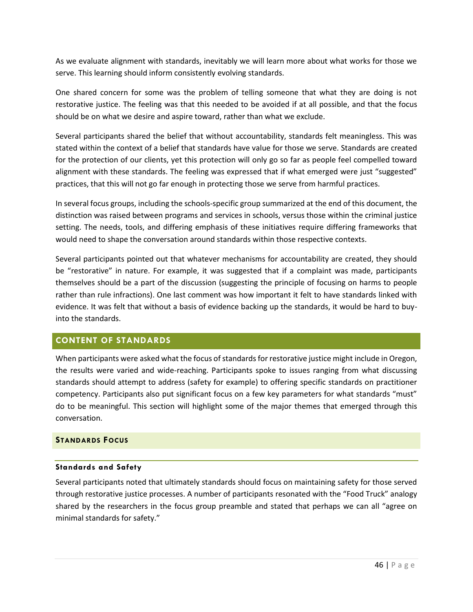As we evaluate alignment with standards, inevitably we will learn more about what works for those we serve. This learning should inform consistently evolving standards.

One shared concern for some was the problem of telling someone that what they are doing is not restorative justice. The feeling was that this needed to be avoided if at all possible, and that the focus should be on what we desire and aspire toward, rather than what we exclude.

Several participants shared the belief that without accountability, standards felt meaningless. This was stated within the context of a belief that standards have value for those we serve. Standards are created for the protection of our clients, yet this protection will only go so far as people feel compelled toward alignment with these standards. The feeling was expressed that if what emerged were just "suggested" practices, that this will not go far enough in protecting those we serve from harmful practices.

In several focus groups, including the schools-specific group summarized at the end of this document, the distinction was raised between programs and services in schools, versus those within the criminal justice setting. The needs, tools, and differing emphasis of these initiatives require differing frameworks that would need to shape the conversation around standards within those respective contexts.

Several participants pointed out that whatever mechanisms for accountability are created, they should be "restorative" in nature. For example, it was suggested that if a complaint was made, participants themselves should be a part of the discussion (suggesting the principle of focusing on harms to people rather than rule infractions). One last comment was how important it felt to have standards linked with evidence. It was felt that without a basis of evidence backing up the standards, it would be hard to buyinto the standards.

# <span id="page-46-0"></span>**CONTENT OF STANDARDS**

When participants were asked what the focus of standards for restorative justice might include in Oregon, the results were varied and wide-reaching. Participants spoke to issues ranging from what discussing standards should attempt to address (safety for example) to offering specific standards on practitioner competency. Participants also put significant focus on a few key parameters for what standards "must" do to be meaningful. This section will highlight some of the major themes that emerged through this conversation.

# <span id="page-46-1"></span>**STANDARDS FOCUS**

## **Standards and Safety**

Several participants noted that ultimately standards should focus on maintaining safety for those served through restorative justice processes. A number of participants resonated with the "Food Truck" analogy shared by the researchers in the focus group preamble and stated that perhaps we can all "agree on minimal standards for safety."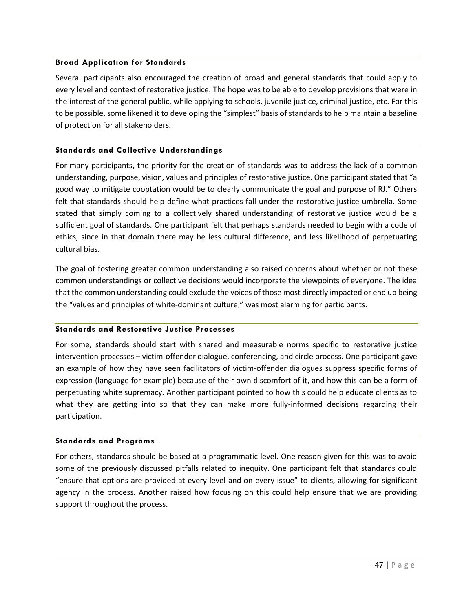## **Broad Application for Standards**

Several participants also encouraged the creation of broad and general standards that could apply to every level and context of restorative justice. The hope was to be able to develop provisions that were in the interest of the general public, while applying to schools, juvenile justice, criminal justice, etc. For this to be possible, some likened it to developing the "simplest" basis of standards to help maintain a baseline of protection for all stakeholders.

#### **Standards and Collective Understandings**

For many participants, the priority for the creation of standards was to address the lack of a common understanding, purpose, vision, values and principles of restorative justice. One participant stated that "a good way to mitigate cooptation would be to clearly communicate the goal and purpose of RJ." Others felt that standards should help define what practices fall under the restorative justice umbrella. Some stated that simply coming to a collectively shared understanding of restorative justice would be a sufficient goal of standards. One participant felt that perhaps standards needed to begin with a code of ethics, since in that domain there may be less cultural difference, and less likelihood of perpetuating cultural bias.

The goal of fostering greater common understanding also raised concerns about whether or not these common understandings or collective decisions would incorporate the viewpoints of everyone. The idea that the common understanding could exclude the voices of those most directly impacted or end up being the "values and principles of white-dominant culture," was most alarming for participants.

#### **Standards and Restorative Justice Processes**

For some, standards should start with shared and measurable norms specific to restorative justice intervention processes – victim-offender dialogue, conferencing, and circle process. One participant gave an example of how they have seen facilitators of victim-offender dialogues suppress specific forms of expression (language for example) because of their own discomfort of it, and how this can be a form of perpetuating white supremacy. Another participant pointed to how this could help educate clients as to what they are getting into so that they can make more fully-informed decisions regarding their participation.

#### **Standards and Programs**

For others, standards should be based at a programmatic level. One reason given for this was to avoid some of the previously discussed pitfalls related to inequity. One participant felt that standards could "ensure that options are provided at every level and on every issue" to clients, allowing for significant agency in the process. Another raised how focusing on this could help ensure that we are providing support throughout the process.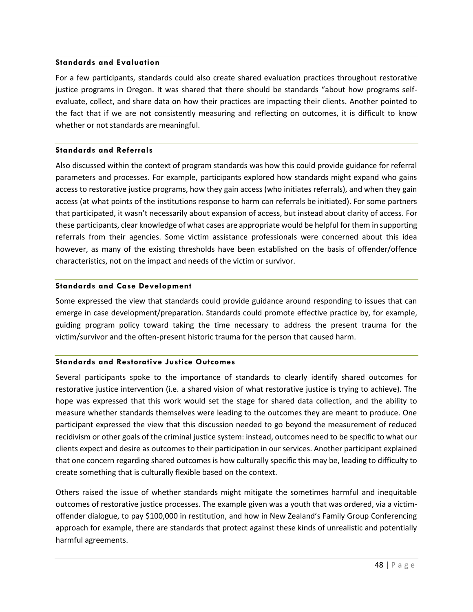#### **Standards and Evaluation**

For a few participants, standards could also create shared evaluation practices throughout restorative justice programs in Oregon. It was shared that there should be standards "about how programs selfevaluate, collect, and share data on how their practices are impacting their clients. Another pointed to the fact that if we are not consistently measuring and reflecting on outcomes, it is difficult to know whether or not standards are meaningful.

#### **Standards and Referrals**

Also discussed within the context of program standards was how this could provide guidance for referral parameters and processes. For example, participants explored how standards might expand who gains access to restorative justice programs, how they gain access (who initiates referrals), and when they gain access (at what points of the institutions response to harm can referrals be initiated). For some partners that participated, it wasn't necessarily about expansion of access, but instead about clarity of access. For these participants, clear knowledge of what cases are appropriate would be helpful for them in supporting referrals from their agencies. Some victim assistance professionals were concerned about this idea however, as many of the existing thresholds have been established on the basis of offender/offence characteristics, not on the impact and needs of the victim or survivor.

## **Standards and Case Development**

Some expressed the view that standards could provide guidance around responding to issues that can emerge in case development/preparation. Standards could promote effective practice by, for example, guiding program policy toward taking the time necessary to address the present trauma for the victim/survivor and the often-present historic trauma for the person that caused harm.

## **Standards and Restorative Justice Outcomes**

Several participants spoke to the importance of standards to clearly identify shared outcomes for restorative justice intervention (i.e. a shared vision of what restorative justice is trying to achieve). The hope was expressed that this work would set the stage for shared data collection, and the ability to measure whether standards themselves were leading to the outcomes they are meant to produce. One participant expressed the view that this discussion needed to go beyond the measurement of reduced recidivism or other goals of the criminal justice system: instead, outcomes need to be specific to what our clients expect and desire as outcomes to their participation in our services. Another participant explained that one concern regarding shared outcomes is how culturally specific this may be, leading to difficulty to create something that is culturally flexible based on the context.

Others raised the issue of whether standards might mitigate the sometimes harmful and inequitable outcomes of restorative justice processes. The example given was a youth that was ordered, via a victimoffender dialogue, to pay \$100,000 in restitution, and how in New Zealand's Family Group Conferencing approach for example, there are standards that protect against these kinds of unrealistic and potentially harmful agreements.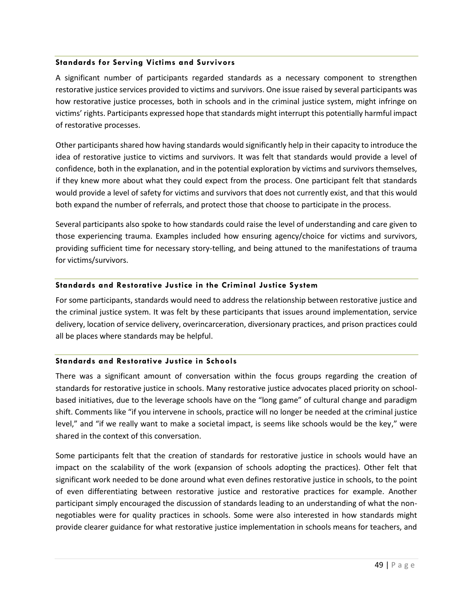## **Standards for Serving Victims and Survivors**

A significant number of participants regarded standards as a necessary component to strengthen restorative justice services provided to victims and survivors. One issue raised by several participants was how restorative justice processes, both in schools and in the criminal justice system, might infringe on victims' rights. Participants expressed hope that standards might interrupt this potentially harmful impact of restorative processes.

Other participants shared how having standards would significantly help in their capacity to introduce the idea of restorative justice to victims and survivors. It was felt that standards would provide a level of confidence, both in the explanation, and in the potential exploration by victims and survivors themselves, if they knew more about what they could expect from the process. One participant felt that standards would provide a level of safety for victims and survivors that does not currently exist, and that this would both expand the number of referrals, and protect those that choose to participate in the process.

Several participants also spoke to how standards could raise the level of understanding and care given to those experiencing trauma. Examples included how ensuring agency/choice for victims and survivors, providing sufficient time for necessary story-telling, and being attuned to the manifestations of trauma for victims/survivors.

# **Standards and Restorative Justice in the Criminal Justice System**

For some participants, standards would need to address the relationship between restorative justice and the criminal justice system. It was felt by these participants that issues around implementation, service delivery, location of service delivery, overincarceration, diversionary practices, and prison practices could all be places where standards may be helpful.

## **Standards and Restorative Justice in Schools**

There was a significant amount of conversation within the focus groups regarding the creation of standards for restorative justice in schools. Many restorative justice advocates placed priority on schoolbased initiatives, due to the leverage schools have on the "long game" of cultural change and paradigm shift. Comments like "if you intervene in schools, practice will no longer be needed at the criminal justice level," and "if we really want to make a societal impact, is seems like schools would be the key," were shared in the context of this conversation.

Some participants felt that the creation of standards for restorative justice in schools would have an impact on the scalability of the work (expansion of schools adopting the practices). Other felt that significant work needed to be done around what even defines restorative justice in schools, to the point of even differentiating between restorative justice and restorative practices for example. Another participant simply encouraged the discussion of standards leading to an understanding of what the nonnegotiables were for quality practices in schools. Some were also interested in how standards might provide clearer guidance for what restorative justice implementation in schools means for teachers, and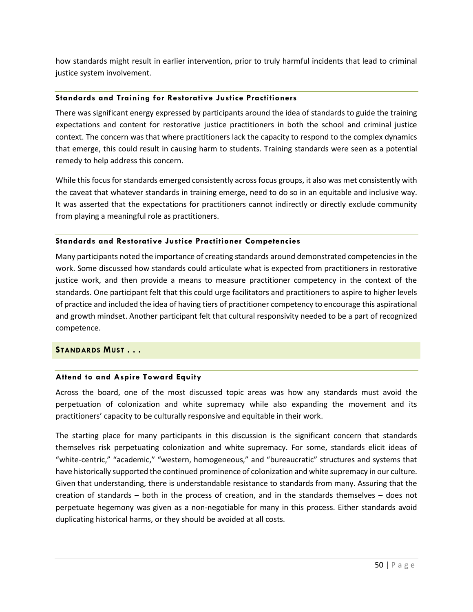how standards might result in earlier intervention, prior to truly harmful incidents that lead to criminal justice system involvement.

## **Standards and Training for Restorative Justice Practitioners**

There was significant energy expressed by participants around the idea of standards to guide the training expectations and content for restorative justice practitioners in both the school and criminal justice context. The concern was that where practitioners lack the capacity to respond to the complex dynamics that emerge, this could result in causing harm to students. Training standards were seen as a potential remedy to help address this concern.

While this focus for standards emerged consistently across focus groups, it also was met consistently with the caveat that whatever standards in training emerge, need to do so in an equitable and inclusive way. It was asserted that the expectations for practitioners cannot indirectly or directly exclude community from playing a meaningful role as practitioners.

## **Standards and Restorative Justice Practitioner Competencies**

Many participants noted the importance of creating standards around demonstrated competencies in the work. Some discussed how standards could articulate what is expected from practitioners in restorative justice work, and then provide a means to measure practitioner competency in the context of the standards. One participant felt that this could urge facilitators and practitioners to aspire to higher levels of practice and included the idea of having tiers of practitioner competency to encourage this aspirational and growth mindset. Another participant felt that cultural responsivity needed to be a part of recognized competence.

## <span id="page-50-0"></span>**STANDARDS MUST . . .**

# **Attend to and Aspire Toward Equity**

Across the board, one of the most discussed topic areas was how any standards must avoid the perpetuation of colonization and white supremacy while also expanding the movement and its practitioners' capacity to be culturally responsive and equitable in their work.

The starting place for many participants in this discussion is the significant concern that standards themselves risk perpetuating colonization and white supremacy. For some, standards elicit ideas of "white-centric," "academic," "western, homogeneous," and "bureaucratic" structures and systems that have historically supported the continued prominence of colonization and white supremacy in our culture. Given that understanding, there is understandable resistance to standards from many. Assuring that the creation of standards – both in the process of creation, and in the standards themselves – does not perpetuate hegemony was given as a non-negotiable for many in this process. Either standards avoid duplicating historical harms, or they should be avoided at all costs.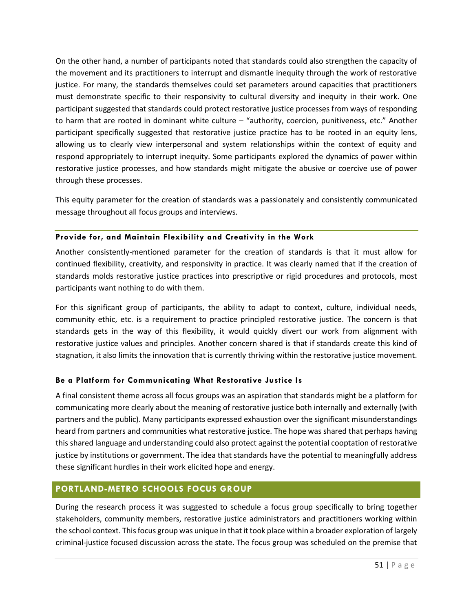On the other hand, a number of participants noted that standards could also strengthen the capacity of the movement and its practitioners to interrupt and dismantle inequity through the work of restorative justice. For many, the standards themselves could set parameters around capacities that practitioners must demonstrate specific to their responsivity to cultural diversity and inequity in their work. One participant suggested that standards could protect restorative justice processes from ways of responding to harm that are rooted in dominant white culture – "authority, coercion, punitiveness, etc." Another participant specifically suggested that restorative justice practice has to be rooted in an equity lens, allowing us to clearly view interpersonal and system relationships within the context of equity and respond appropriately to interrupt inequity. Some participants explored the dynamics of power within restorative justice processes, and how standards might mitigate the abusive or coercive use of power through these processes.

This equity parameter for the creation of standards was a passionately and consistently communicated message throughout all focus groups and interviews.

## **Provide for, and Maintain Flexibility and Creativity in the Work**

Another consistently-mentioned parameter for the creation of standards is that it must allow for continued flexibility, creativity, and responsivity in practice. It was clearly named that if the creation of standards molds restorative justice practices into prescriptive or rigid procedures and protocols, most participants want nothing to do with them.

For this significant group of participants, the ability to adapt to context, culture, individual needs, community ethic, etc. is a requirement to practice principled restorative justice. The concern is that standards gets in the way of this flexibility, it would quickly divert our work from alignment with restorative justice values and principles. Another concern shared is that if standards create this kind of stagnation, it also limits the innovation that is currently thriving within the restorative justice movement.

## **Be a Platform for Communicating What Restorative Justice Is**

A final consistent theme across all focus groups was an aspiration that standards might be a platform for communicating more clearly about the meaning of restorative justice both internally and externally (with partners and the public). Many participants expressed exhaustion over the significant misunderstandings heard from partners and communities what restorative justice. The hope was shared that perhaps having this shared language and understanding could also protect against the potential cooptation of restorative justice by institutions or government. The idea that standards have the potential to meaningfully address these significant hurdles in their work elicited hope and energy.

# <span id="page-51-0"></span>**PORTLAND-METRO SCHOOLS FOCUS GROUP**

During the research process it was suggested to schedule a focus group specifically to bring together stakeholders, community members, restorative justice administrators and practitioners working within the school context. Thisfocus group was unique in that it took place within a broader exploration of largely criminal-justice focused discussion across the state. The focus group was scheduled on the premise that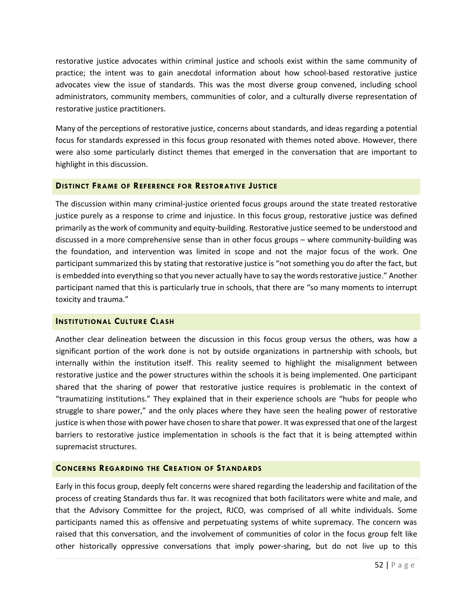restorative justice advocates within criminal justice and schools exist within the same community of practice; the intent was to gain anecdotal information about how school-based restorative justice advocates view the issue of standards. This was the most diverse group convened, including school administrators, community members, communities of color, and a culturally diverse representation of restorative justice practitioners.

Many of the perceptions of restorative justice, concerns about standards, and ideas regarding a potential focus for standards expressed in this focus group resonated with themes noted above. However, there were also some particularly distinct themes that emerged in the conversation that are important to highlight in this discussion.

## <span id="page-52-0"></span>**DISTINCT FRAME OF REFERENCE FOR RESTORATIVE JUSTICE**

The discussion within many criminal-justice oriented focus groups around the state treated restorative justice purely as a response to crime and injustice. In this focus group, restorative justice was defined primarily asthe work of community and equity-building. Restorative justice seemed to be understood and discussed in a more comprehensive sense than in other focus groups – where community-building was the foundation, and intervention was limited in scope and not the major focus of the work. One participant summarized this by stating that restorative justice is "not something you do after the fact, but is embedded into everything so that you never actually have to say the words restorative justice." Another participant named that this is particularly true in schools, that there are "so many moments to interrupt toxicity and trauma."

## <span id="page-52-1"></span>**INSTITUTIONAL CULTURE CLASH**

Another clear delineation between the discussion in this focus group versus the others, was how a significant portion of the work done is not by outside organizations in partnership with schools, but internally within the institution itself. This reality seemed to highlight the misalignment between restorative justice and the power structures within the schools it is being implemented. One participant shared that the sharing of power that restorative justice requires is problematic in the context of "traumatizing institutions." They explained that in their experience schools are "hubs for people who struggle to share power," and the only places where they have seen the healing power of restorative justice is when those with power have chosen to share that power. It was expressed that one of the largest barriers to restorative justice implementation in schools is the fact that it is being attempted within supremacist structures.

# <span id="page-52-2"></span>**CONCERNS REGARDING THE CREATION OF STANDARDS**

Early in this focus group, deeply felt concerns were shared regarding the leadership and facilitation of the process of creating Standards thus far. It was recognized that both facilitators were white and male, and that the Advisory Committee for the project, RJCO, was comprised of all white individuals. Some participants named this as offensive and perpetuating systems of white supremacy. The concern was raised that this conversation, and the involvement of communities of color in the focus group felt like other historically oppressive conversations that imply power-sharing, but do not live up to this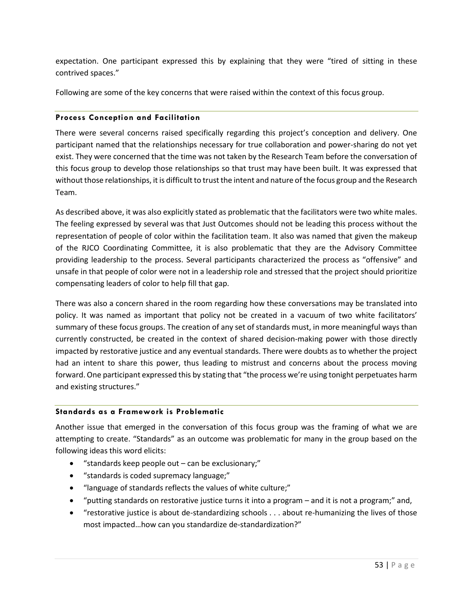expectation. One participant expressed this by explaining that they were "tired of sitting in these contrived spaces."

Following are some of the key concerns that were raised within the context of this focus group.

## **Process Conception and Facilitation**

There were several concerns raised specifically regarding this project's conception and delivery. One participant named that the relationships necessary for true collaboration and power-sharing do not yet exist. They were concerned that the time was not taken by the Research Team before the conversation of this focus group to develop those relationships so that trust may have been built. It was expressed that without those relationships, it is difficult to trust the intent and nature of the focus group and the Research Team.

As described above, it was also explicitly stated as problematic that the facilitators were two white males. The feeling expressed by several was that Just Outcomes should not be leading this process without the representation of people of color within the facilitation team. It also was named that given the makeup of the RJCO Coordinating Committee, it is also problematic that they are the Advisory Committee providing leadership to the process. Several participants characterized the process as "offensive" and unsafe in that people of color were not in a leadership role and stressed that the project should prioritize compensating leaders of color to help fill that gap.

There was also a concern shared in the room regarding how these conversations may be translated into policy. It was named as important that policy not be created in a vacuum of two white facilitators' summary of these focus groups. The creation of any set of standards must, in more meaningful ways than currently constructed, be created in the context of shared decision-making power with those directly impacted by restorative justice and any eventual standards. There were doubts as to whether the project had an intent to share this power, thus leading to mistrust and concerns about the process moving forward. One participant expressed this by stating that "the process we're using tonight perpetuates harm and existing structures."

## **Standards as a Framework is Problematic**

Another issue that emerged in the conversation of this focus group was the framing of what we are attempting to create. "Standards" as an outcome was problematic for many in the group based on the following ideas this word elicits:

- "standards keep people out can be exclusionary;"
- "standards is coded supremacy language;"
- "language of standards reflects the values of white culture;"
- "putting standards on restorative justice turns it into a program and it is not a program;" and,
- "restorative justice is about de-standardizing schools . . . about re-humanizing the lives of those most impacted…how can you standardize de-standardization?"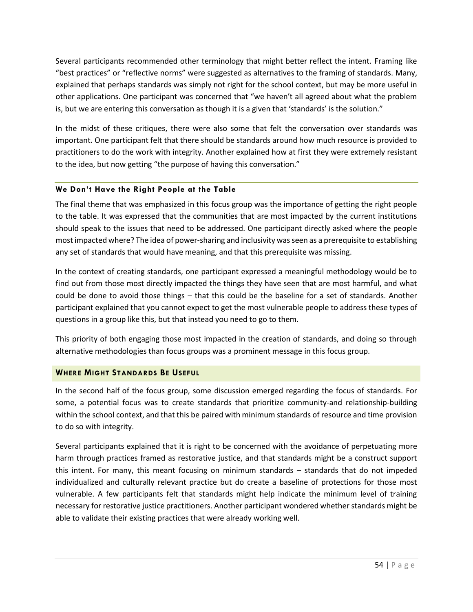Several participants recommended other terminology that might better reflect the intent. Framing like "best practices" or "reflective norms" were suggested as alternatives to the framing of standards. Many, explained that perhaps standards was simply not right for the school context, but may be more useful in other applications. One participant was concerned that "we haven't all agreed about what the problem is, but we are entering this conversation as though it is a given that 'standards' is the solution."

In the midst of these critiques, there were also some that felt the conversation over standards was important. One participant felt that there should be standards around how much resource is provided to practitioners to do the work with integrity. Another explained how at first they were extremely resistant to the idea, but now getting "the purpose of having this conversation."

## **We Don't Have the Right People at the Table**

The final theme that was emphasized in this focus group was the importance of getting the right people to the table. It was expressed that the communities that are most impacted by the current institutions should speak to the issues that need to be addressed. One participant directly asked where the people most impacted where? The idea of power-sharing and inclusivity was seen as a prerequisite to establishing any set of standards that would have meaning, and that this prerequisite was missing.

In the context of creating standards, one participant expressed a meaningful methodology would be to find out from those most directly impacted the things they have seen that are most harmful, and what could be done to avoid those things – that this could be the baseline for a set of standards. Another participant explained that you cannot expect to get the most vulnerable people to address these types of questions in a group like this, but that instead you need to go to them.

This priority of both engaging those most impacted in the creation of standards, and doing so through alternative methodologies than focus groups was a prominent message in this focus group.

# <span id="page-54-0"></span>**WHERE MIGHT STANDARDS BE USEFUL**

In the second half of the focus group, some discussion emerged regarding the focus of standards. For some, a potential focus was to create standards that prioritize community-and relationship-building within the school context, and that this be paired with minimum standards of resource and time provision to do so with integrity.

Several participants explained that it is right to be concerned with the avoidance of perpetuating more harm through practices framed as restorative justice, and that standards might be a construct support this intent. For many, this meant focusing on minimum standards – standards that do not impeded individualized and culturally relevant practice but do create a baseline of protections for those most vulnerable. A few participants felt that standards might help indicate the minimum level of training necessary for restorative justice practitioners. Another participant wondered whether standards might be able to validate their existing practices that were already working well.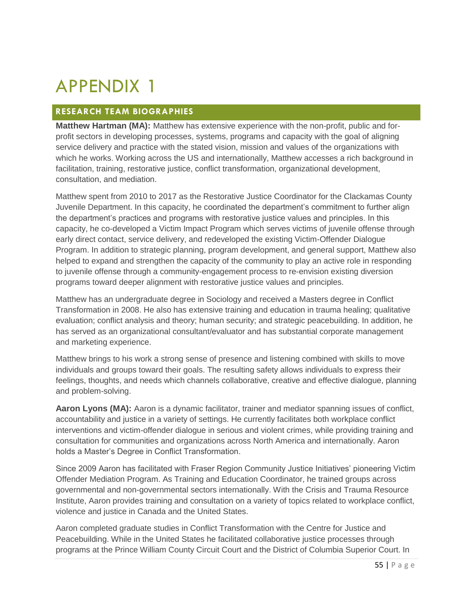# <span id="page-55-0"></span>APPENDIX 1

# <span id="page-55-1"></span>**RESEARCH TEAM BIOGRAPHIES**

**Matthew Hartman (MA):** Matthew has extensive experience with the non-profit, public and forprofit sectors in developing processes, systems, programs and capacity with the goal of aligning service delivery and practice with the stated vision, mission and values of the organizations with which he works. Working across the US and internationally, Matthew accesses a rich background in facilitation, training, restorative justice, conflict transformation, organizational development, consultation, and mediation.

Matthew spent from 2010 to 2017 as the Restorative Justice Coordinator for the Clackamas County Juvenile Department. In this capacity, he coordinated the department's commitment to further align the department's practices and programs with restorative justice values and principles. In this capacity, he co-developed a Victim Impact Program which serves victims of juvenile offense through early direct contact, service delivery, and redeveloped the existing Victim-Offender Dialogue Program. In addition to strategic planning, program development, and general support, Matthew also helped to expand and strengthen the capacity of the community to play an active role in responding to juvenile offense through a community-engagement process to re-envision existing diversion programs toward deeper alignment with restorative justice values and principles.

Matthew has an undergraduate degree in Sociology and received a Masters degree in Conflict Transformation in 2008. He also has extensive training and education in trauma healing; qualitative evaluation; conflict analysis and theory; human security; and strategic peacebuilding. In addition, he has served as an organizational consultant/evaluator and has substantial corporate management and marketing experience.

Matthew brings to his work a strong sense of presence and listening combined with skills to move individuals and groups toward their goals. The resulting safety allows individuals to express their feelings, thoughts, and needs which channels collaborative, creative and effective dialogue, planning and problem-solving.

**Aaron Lyons (MA):** Aaron is a dynamic facilitator, trainer and mediator spanning issues of conflict, accountability and justice in a variety of settings. He currently facilitates both workplace conflict interventions and victim-offender dialogue in serious and violent crimes, while providing training and consultation for communities and organizations across North America and internationally. Aaron holds a Master's Degree in Conflict Transformation.

Since 2009 Aaron has facilitated with Fraser Region Community Justice Initiatives' pioneering Victim Offender Mediation Program. As Training and Education Coordinator, he trained groups across governmental and non-governmental sectors internationally. With the Crisis and Trauma Resource Institute, Aaron provides training and consultation on a variety of topics related to workplace conflict, violence and justice in Canada and the United States.

Aaron completed graduate studies in Conflict Transformation with the Centre for Justice and Peacebuilding. While in the United States he facilitated collaborative justice processes through programs at the Prince William County Circuit Court and the District of Columbia Superior Court. In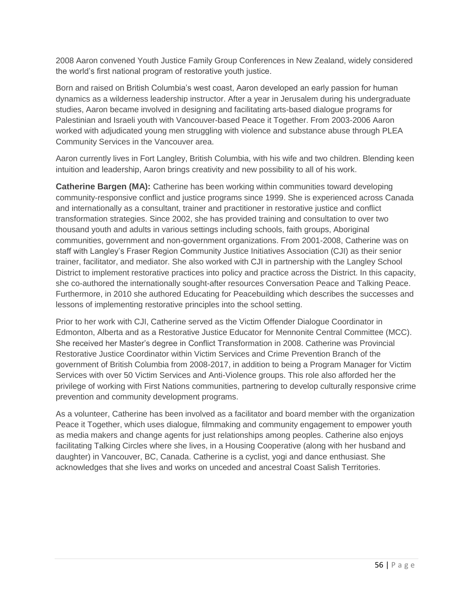2008 Aaron convened Youth Justice Family Group Conferences in New Zealand, widely considered the world's first national program of restorative youth justice.

Born and raised on British Columbia's west coast, Aaron developed an early passion for human dynamics as a wilderness leadership instructor. After a year in Jerusalem during his undergraduate studies, Aaron became involved in designing and facilitating arts-based dialogue programs for Palestinian and Israeli youth with Vancouver-based Peace it Together. From 2003-2006 Aaron worked with adjudicated young men struggling with violence and substance abuse through PLEA Community Services in the Vancouver area.

Aaron currently lives in Fort Langley, British Columbia, with his wife and two children. Blending keen intuition and leadership, Aaron brings creativity and new possibility to all of his work.

**Catherine Bargen (MA):** Catherine has been working within communities toward developing community-responsive conflict and justice programs since 1999. She is experienced across Canada and internationally as a consultant, trainer and practitioner in restorative justice and conflict transformation strategies. Since 2002, she has provided training and consultation to over two thousand youth and adults in various settings including schools, faith groups, Aboriginal communities, government and non-government organizations. From 2001-2008, Catherine was on staff with Langley's Fraser Region Community Justice Initiatives Association (CJI) as their senior trainer, facilitator, and mediator. She also worked with CJI in partnership with the Langley School District to implement restorative practices into policy and practice across the District. In this capacity, she co-authored the internationally sought-after resources Conversation Peace and Talking Peace. Furthermore, in 2010 she authored Educating for Peacebuilding which describes the successes and lessons of implementing restorative principles into the school setting.

Prior to her work with CJI, Catherine served as the Victim Offender Dialogue Coordinator in Edmonton, Alberta and as a Restorative Justice Educator for Mennonite Central Committee (MCC). She received her Master's degree in Conflict Transformation in 2008. Catherine was Provincial Restorative Justice Coordinator within Victim Services and Crime Prevention Branch of the government of British Columbia from 2008-2017, in addition to being a Program Manager for Victim Services with over 50 Victim Services and Anti-Violence groups. This role also afforded her the privilege of working with First Nations communities, partnering to develop culturally responsive crime prevention and community development programs.

As a volunteer, Catherine has been involved as a facilitator and board member with the organization Peace it Together, which uses dialogue, filmmaking and community engagement to empower youth as media makers and change agents for just relationships among peoples. Catherine also enjoys facilitating Talking Circles where she lives, in a Housing Cooperative (along with her husband and daughter) in Vancouver, BC, Canada. Catherine is a cyclist, yogi and dance enthusiast. She acknowledges that she lives and works on unceded and ancestral Coast Salish Territories.